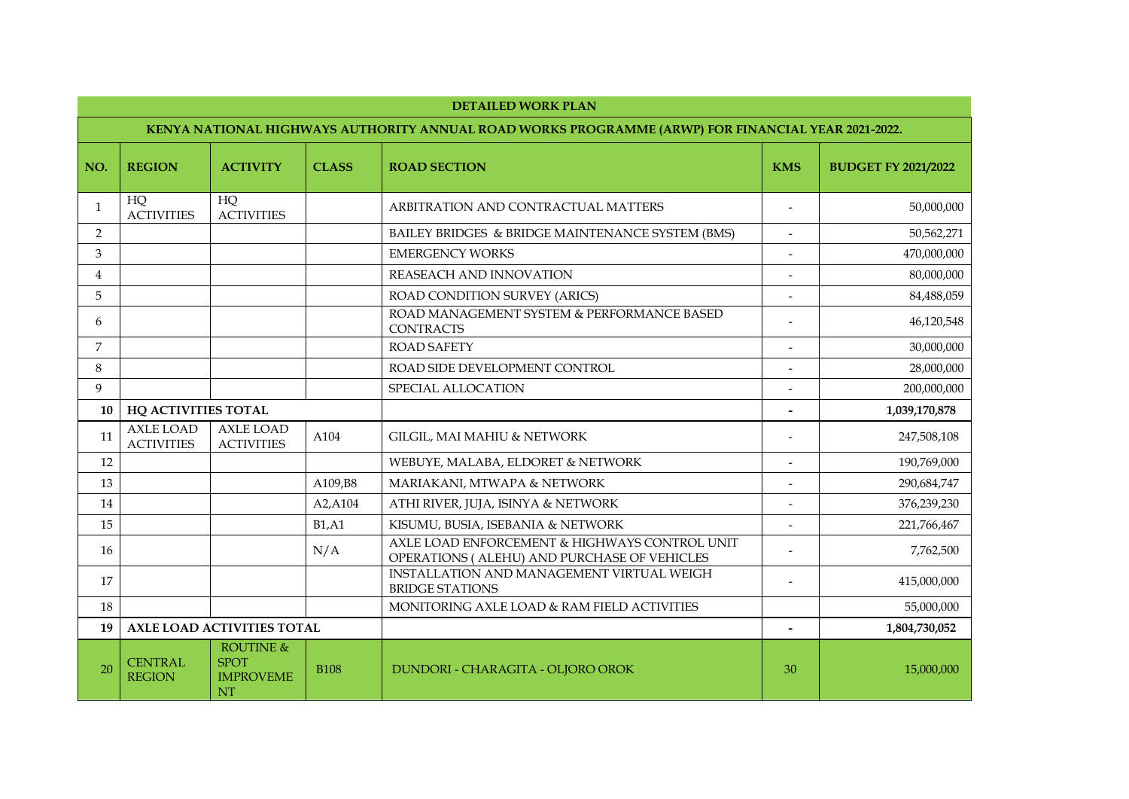|                | <b>DETAILED WORK PLAN</b>                                                                          |                                                                      |              |                                                                                               |                          |                            |  |
|----------------|----------------------------------------------------------------------------------------------------|----------------------------------------------------------------------|--------------|-----------------------------------------------------------------------------------------------|--------------------------|----------------------------|--|
|                | KENYA NATIONAL HIGHWAYS AUTHORITY ANNUAL ROAD WORKS PROGRAMME (ARWP) FOR FINANCIAL YEAR 2021-2022. |                                                                      |              |                                                                                               |                          |                            |  |
| NO.            | <b>REGION</b>                                                                                      | <b>ACTIVITY</b>                                                      | <b>CLASS</b> | <b>ROAD SECTION</b>                                                                           | <b>KMS</b>               | <b>BUDGET FY 2021/2022</b> |  |
| $\mathbf{1}$   | HQ<br><b>ACTIVITIES</b>                                                                            | HQ<br><b>ACTIVITIES</b>                                              |              | ARBITRATION AND CONTRACTUAL MATTERS                                                           | $\overline{\phantom{a}}$ | 50,000,000                 |  |
| 2              |                                                                                                    |                                                                      |              | BAILEY BRIDGES & BRIDGE MAINTENANCE SYSTEM (BMS)                                              |                          | 50,562,271                 |  |
| 3              |                                                                                                    |                                                                      |              | <b>EMERGENCY WORKS</b>                                                                        |                          | 470,000,000                |  |
| $\overline{4}$ |                                                                                                    |                                                                      |              | <b>REASEACH AND INNOVATION</b>                                                                |                          | 80,000,000                 |  |
| 5              |                                                                                                    |                                                                      |              | ROAD CONDITION SURVEY (ARICS)                                                                 |                          | 84,488,059                 |  |
| 6              |                                                                                                    |                                                                      |              | ROAD MANAGEMENT SYSTEM & PERFORMANCE BASED<br><b>CONTRACTS</b>                                |                          | 46,120,548                 |  |
| 7              |                                                                                                    |                                                                      |              | <b>ROAD SAFETY</b>                                                                            | $\overline{\phantom{a}}$ | 30,000,000                 |  |
| 8              |                                                                                                    |                                                                      |              | ROAD SIDE DEVELOPMENT CONTROL                                                                 |                          | 28,000,000                 |  |
| 9              |                                                                                                    |                                                                      |              | SPECIAL ALLOCATION                                                                            |                          | 200,000,000                |  |
| 10             | <b>HQ ACTIVITIES TOTAL</b>                                                                         |                                                                      |              |                                                                                               |                          | 1,039,170,878              |  |
| 11             | <b>AXLE LOAD</b><br><b>ACTIVITIES</b>                                                              | <b>AXLE LOAD</b><br><b>ACTIVITIES</b>                                | A104         | <b>GILGIL, MAI MAHIU &amp; NETWORK</b>                                                        |                          | 247,508,108                |  |
| 12             |                                                                                                    |                                                                      |              | WEBUYE, MALABA, ELDORET & NETWORK                                                             | $\overline{\phantom{a}}$ | 190,769,000                |  |
| 13             |                                                                                                    |                                                                      | A109,B8      | MARIAKANI, MTWAPA & NETWORK                                                                   |                          | 290,684,747                |  |
| 14             |                                                                                                    |                                                                      | A2, A104     | ATHI RIVER, JUJA, ISINYA & NETWORK                                                            |                          | 376,239,230                |  |
| 15             |                                                                                                    |                                                                      | B1, A1       | KISUMU, BUSIA, ISEBANIA & NETWORK                                                             |                          | 221,766,467                |  |
| 16             |                                                                                                    |                                                                      | N/A          | AXLE LOAD ENFORCEMENT & HIGHWAYS CONTROL UNIT<br>OPERATIONS ( ALEHU) AND PURCHASE OF VEHICLES |                          | 7,762,500                  |  |
| 17             |                                                                                                    |                                                                      |              | INSTALLATION AND MANAGEMENT VIRTUAL WEIGH<br><b>BRIDGE STATIONS</b>                           |                          | 415,000,000                |  |
| 18             |                                                                                                    |                                                                      |              | MONITORING AXLE LOAD & RAM FIELD ACTIVITIES                                                   |                          | 55,000,000                 |  |
| 19             |                                                                                                    | AXLE LOAD ACTIVITIES TOTAL                                           |              |                                                                                               |                          | 1,804,730,052              |  |
| 20             | <b>CENTRAL</b><br><b>REGION</b>                                                                    | <b>ROUTINE &amp;</b><br><b>SPOT</b><br><b>IMPROVEME</b><br><b>NT</b> | <b>B108</b>  | DUNDORI - CHARAGITA - OLJORO OROK                                                             | 30                       | 15,000,000                 |  |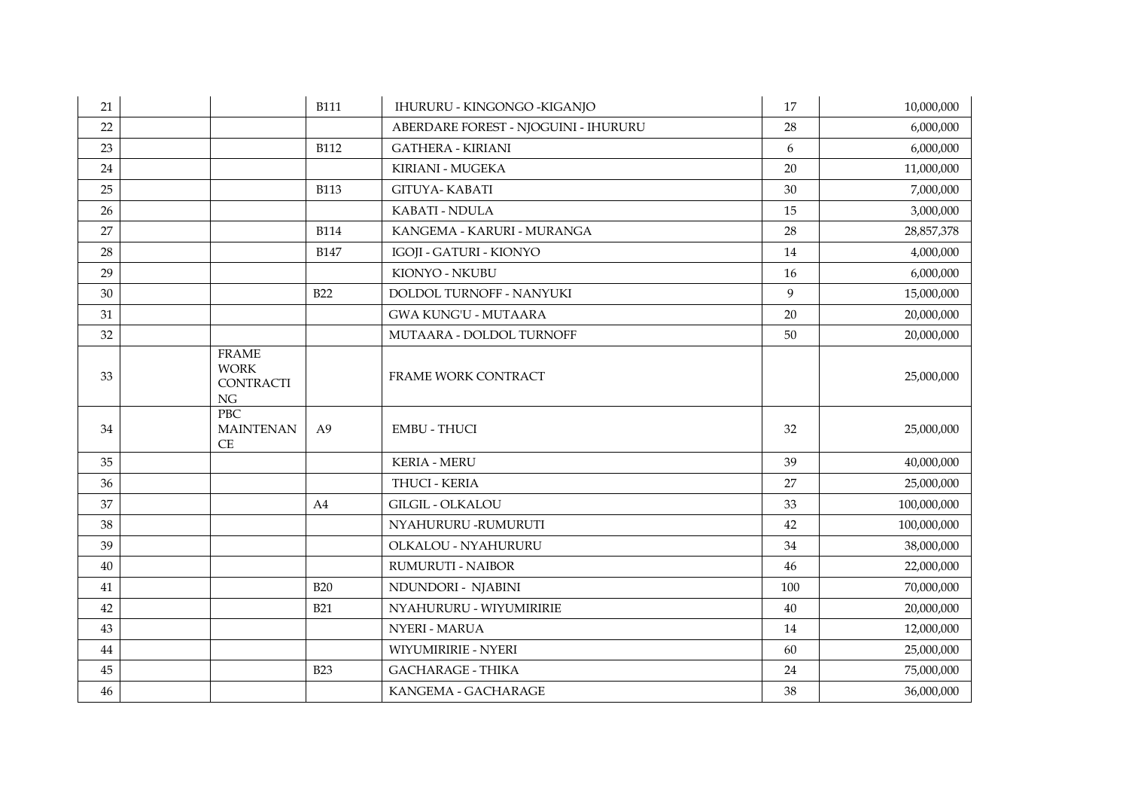| 21 |                                                             | <b>B111</b>    | IHURURU - KINGONGO - KIGANJO         | 17  | 10,000,000  |
|----|-------------------------------------------------------------|----------------|--------------------------------------|-----|-------------|
| 22 |                                                             |                | ABERDARE FOREST - NJOGUINI - IHURURU | 28  | 6,000,000   |
| 23 |                                                             | <b>B112</b>    | <b>GATHERA - KIRIANI</b>             | 6   | 6,000,000   |
| 24 |                                                             |                | KIRIANI - MUGEKA                     | 20  | 11,000,000  |
| 25 |                                                             | <b>B113</b>    | <b>GITUYA- KABATI</b>                | 30  | 7,000,000   |
| 26 |                                                             |                | KABATI - NDULA                       | 15  | 3,000,000   |
| 27 |                                                             | <b>B114</b>    | KANGEMA - KARURI - MURANGA           | 28  | 28,857,378  |
| 28 |                                                             | <b>B147</b>    | IGOJI - GATURI - KIONYO              | 14  | 4,000,000   |
| 29 |                                                             |                | KIONYO - NKUBU                       | 16  | 6,000,000   |
| 30 |                                                             | <b>B22</b>     | DOLDOL TURNOFF - NANYUKI             | 9   | 15,000,000  |
| 31 |                                                             |                | <b>GWA KUNG'U - MUTAARA</b>          | 20  | 20,000,000  |
| 32 |                                                             |                | MUTAARA - DOLDOL TURNOFF             | 50  | 20,000,000  |
| 33 | <b>FRAME</b><br><b>WORK</b><br><b>CONTRACTI</b><br>$\rm NG$ |                | FRAME WORK CONTRACT                  |     | 25,000,000  |
| 34 | PBC<br><b>MAINTENAN</b><br>CE                               | A <sub>9</sub> | <b>EMBU - THUCI</b>                  | 32  | 25,000,000  |
| 35 |                                                             |                | <b>KERIA - MERU</b>                  | 39  | 40,000,000  |
| 36 |                                                             |                | THUCI - KERIA                        | 27  | 25,000,000  |
| 37 |                                                             | A4             | <b>GILGIL - OLKALOU</b>              | 33  | 100,000,000 |
| 38 |                                                             |                | NYAHURURU -RUMURUTI                  | 42  | 100,000,000 |
| 39 |                                                             |                | OLKALOU - NYAHURURU                  | 34  | 38,000,000  |
| 40 |                                                             |                | <b>RUMURUTI - NAIBOR</b>             | 46  | 22,000,000  |
| 41 |                                                             | <b>B20</b>     | NDUNDORI - NJABINI                   | 100 | 70,000,000  |
| 42 |                                                             | <b>B21</b>     | NYAHURURU - WIYUMIRIRIE              | 40  | 20,000,000  |
| 43 |                                                             |                | NYERI - MARUA                        | 14  | 12,000,000  |
| 44 |                                                             |                | <b>WIYUMIRIRIE - NYERI</b>           | 60  | 25,000,000  |
| 45 |                                                             | <b>B23</b>     | <b>GACHARAGE - THIKA</b>             | 24  | 75,000,000  |
| 46 |                                                             |                | KANGEMA - GACHARAGE                  | 38  | 36,000,000  |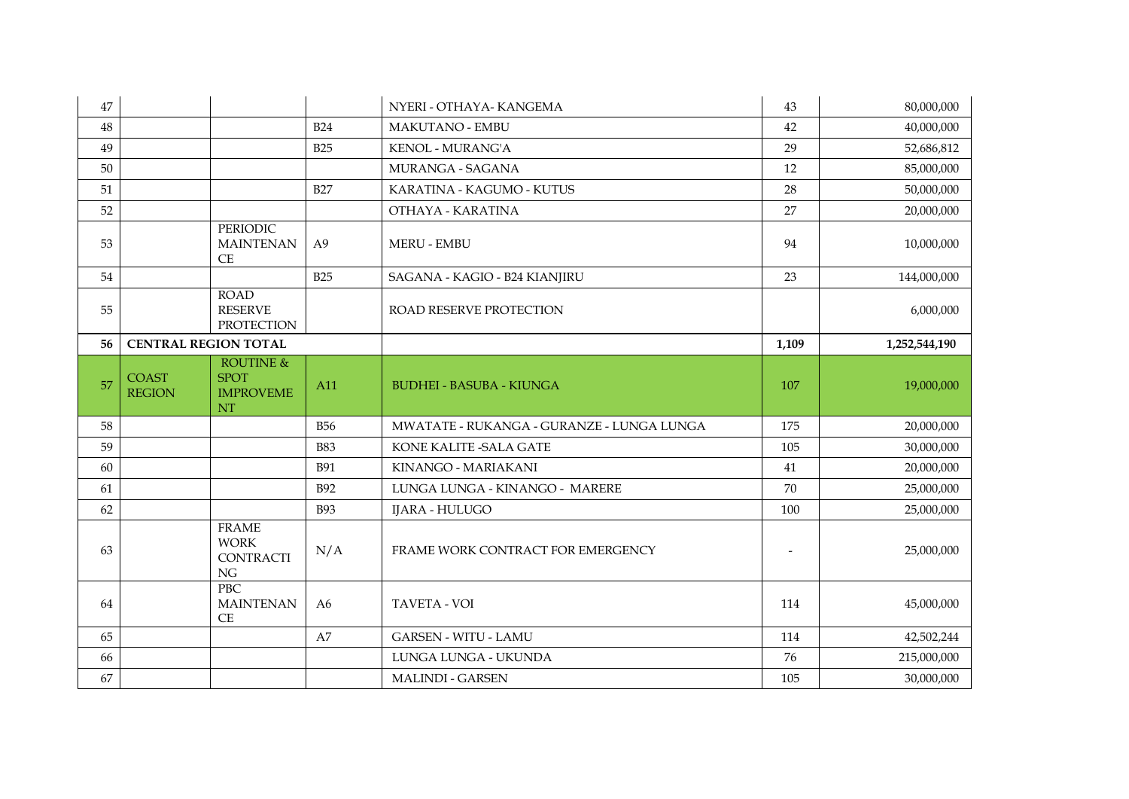| 47 |                             |                                                       |                | NYERI - OTHAYA- KANGEMA                   | 43                       | 80,000,000    |
|----|-----------------------------|-------------------------------------------------------|----------------|-------------------------------------------|--------------------------|---------------|
| 48 |                             |                                                       | <b>B24</b>     | <b>MAKUTANO - EMBU</b>                    | 42                       | 40,000,000    |
| 49 |                             |                                                       | <b>B25</b>     | KENOL - MURANG'A                          | 29                       | 52,686,812    |
| 50 |                             |                                                       |                | MURANGA - SAGANA                          | 12                       | 85,000,000    |
| 51 |                             |                                                       | <b>B27</b>     | KARATINA - KAGUMO - KUTUS                 | 28                       | 50,000,000    |
| 52 |                             |                                                       |                | OTHAYA - KARATINA                         | 27                       | 20,000,000    |
| 53 |                             | <b>PERIODIC</b><br><b>MAINTENAN</b><br>CE             | A <sub>9</sub> | <b>MERU - EMBU</b>                        | 94                       | 10,000,000    |
| 54 |                             |                                                       | <b>B25</b>     | SAGANA - KAGIO - B24 KIANJIRU             | 23                       | 144,000,000   |
| 55 |                             | <b>ROAD</b><br><b>RESERVE</b><br><b>PROTECTION</b>    |                | ROAD RESERVE PROTECTION                   |                          | 6,000,000     |
| 56 | <b>CENTRAL REGION TOTAL</b> |                                                       |                |                                           | 1,109                    | 1,252,544,190 |
| 57 | <b>COAST</b>                | <b>ROUTINE &amp;</b><br><b>SPOT</b>                   | A11            | <b>BUDHEI - BASUBA - KIUNGA</b>           | 107                      | 19,000,000    |
|    | <b>REGION</b>               | <b>IMPROVEME</b><br><b>NT</b>                         |                |                                           |                          |               |
| 58 |                             |                                                       | <b>B56</b>     | MWATATE - RUKANGA - GURANZE - LUNGA LUNGA | 175                      | 20,000,000    |
| 59 |                             |                                                       | <b>B83</b>     | KONE KALITE - SALA GATE                   | 105                      | 30,000,000    |
| 60 |                             |                                                       | <b>B91</b>     | KINANGO - MARIAKANI                       | 41                       | 20,000,000    |
| 61 |                             |                                                       | <b>B92</b>     | LUNGA LUNGA - KINANGO - MARERE            | 70                       | 25,000,000    |
| 62 |                             |                                                       | <b>B93</b>     | <b>IJARA - HULUGO</b>                     | 100                      | 25,000,000    |
| 63 |                             | <b>FRAME</b><br><b>WORK</b><br><b>CONTRACTI</b><br>NG | N/A            | FRAME WORK CONTRACT FOR EMERGENCY         | $\overline{\phantom{a}}$ | 25,000,000    |
| 64 |                             | <b>PBC</b><br><b>MAINTENAN</b><br>$\!$ $\!$ $\!$      | A6             | <b>TAVETA - VOI</b>                       | 114                      | 45,000,000    |
| 65 |                             |                                                       | A7             | <b>GARSEN - WITU - LAMU</b>               | 114                      | 42,502,244    |
| 66 |                             |                                                       |                | LUNGA LUNGA - UKUNDA                      | 76                       | 215,000,000   |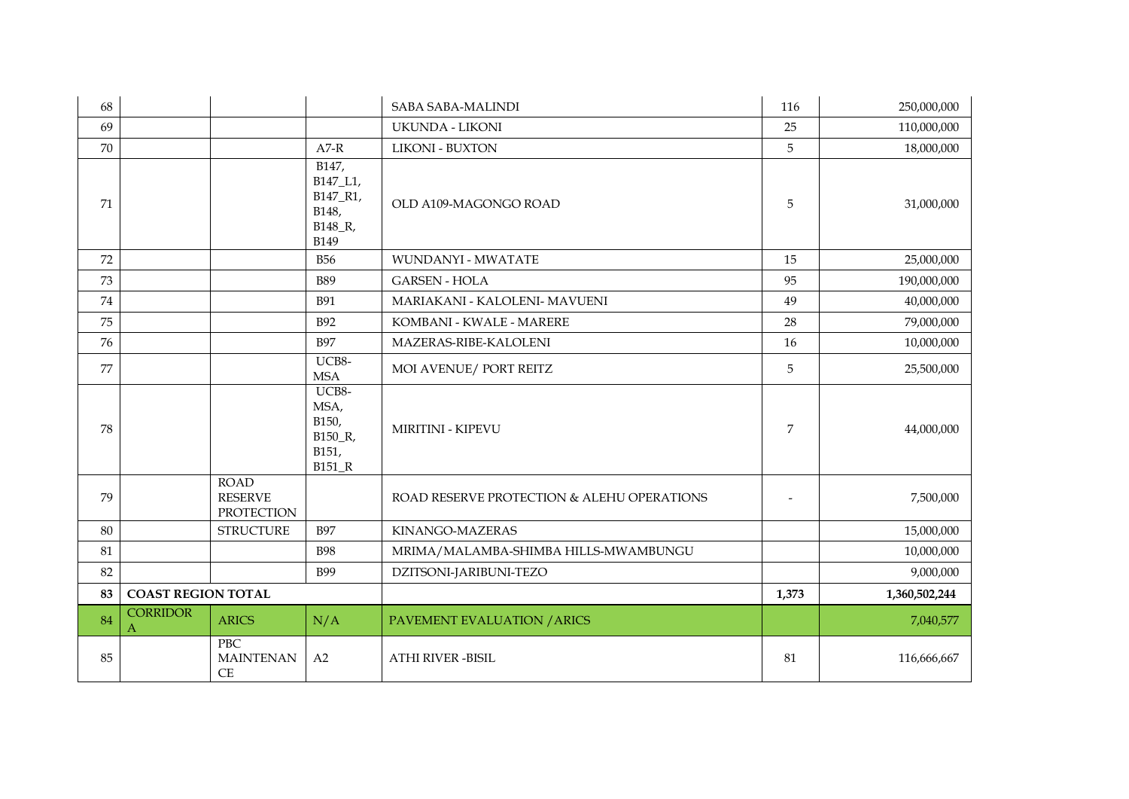| 68 |                                                    |                                                                  | <b>SABA SABA-MALINDI</b>                   | 116                      | 250,000,000   |
|----|----------------------------------------------------|------------------------------------------------------------------|--------------------------------------------|--------------------------|---------------|
| 69 |                                                    |                                                                  | <b>UKUNDA - LIKONI</b>                     | 25                       | 110,000,000   |
| 70 |                                                    | $A7-R$                                                           | <b>LIKONI - BUXTON</b>                     | 5                        | 18,000,000    |
| 71 |                                                    | B147,<br>B147_L1,<br>B147_R1,<br>B148,<br>B148_R,<br><b>B149</b> | OLD A109-MAGONGO ROAD                      | 5                        | 31,000,000    |
| 72 |                                                    | <b>B56</b>                                                       | <b>WUNDANYI - MWATATE</b>                  | 15                       | 25,000,000    |
| 73 |                                                    | <b>B89</b>                                                       | <b>GARSEN - HOLA</b>                       | 95                       | 190,000,000   |
| 74 |                                                    | <b>B91</b>                                                       | MARIAKANI - KALOLENI- MAVUENI              | 49                       | 40,000,000    |
| 75 |                                                    | <b>B92</b>                                                       | KOMBANI - KWALE - MARERE                   | 28                       | 79,000,000    |
| 76 |                                                    | <b>B97</b>                                                       | MAZERAS-RIBE-KALOLENI                      | 16                       | 10,000,000    |
| 77 |                                                    | UCB8-<br><b>MSA</b>                                              | MOI AVENUE/ PORT REITZ                     | 5                        | 25,500,000    |
| 78 |                                                    | UCB8-<br>MSA,<br>B150,<br>B150_R,<br>B151,<br><b>B151_R</b>      | <b>MIRITINI - KIPEVU</b>                   | $\overline{7}$           | 44,000,000    |
| 79 | <b>ROAD</b><br><b>RESERVE</b><br><b>PROTECTION</b> |                                                                  | ROAD RESERVE PROTECTION & ALEHU OPERATIONS | $\overline{\phantom{a}}$ | 7,500,000     |
| 80 | <b>STRUCTURE</b>                                   | <b>B97</b>                                                       | KINANGO-MAZERAS                            |                          | 15,000,000    |
| 81 |                                                    | <b>B98</b>                                                       | MRIMA/MALAMBA-SHIMBA HILLS-MWAMBUNGU       |                          | 10,000,000    |
| 82 |                                                    | <b>B99</b>                                                       | DZITSONI-JARIBUNI-TEZO                     |                          | 9,000,000     |
| 83 | <b>COAST REGION TOTAL</b>                          |                                                                  |                                            | 1,373                    | 1,360,502,244 |
| 84 | <b>CORRIDOR</b><br><b>ARICS</b><br>$\mathbf{A}$    | N/A                                                              | PAVEMENT EVALUATION / ARICS                |                          | 7,040,577     |
| 85 | PBC<br><b>MAINTENAN</b><br><b>CE</b>               | A2                                                               | <b>ATHI RIVER -BISIL</b>                   | 81                       | 116,666,667   |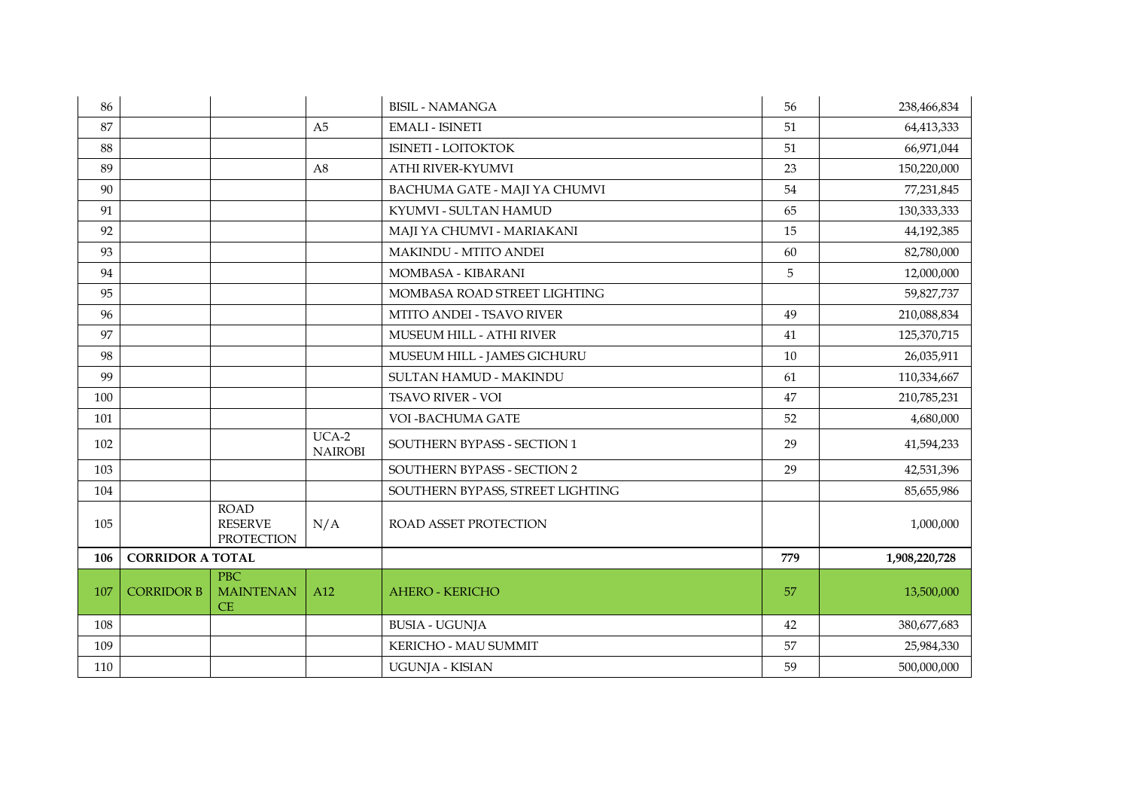| 86  |                         |                                                    |                           | <b>BISIL - NAMANGA</b>           | 56  | 238,466,834   |
|-----|-------------------------|----------------------------------------------------|---------------------------|----------------------------------|-----|---------------|
| 87  |                         |                                                    | A <sub>5</sub>            | <b>EMALI - ISINETI</b>           | 51  | 64,413,333    |
| 88  |                         |                                                    |                           | <b>ISINETI - LOITOKTOK</b>       | 51  | 66,971,044    |
| 89  |                         |                                                    | A8                        | ATHI RIVER-KYUMVI                | 23  | 150,220,000   |
| 90  |                         |                                                    |                           | BACHUMA GATE - MAJI YA CHUMVI    | 54  | 77,231,845    |
| 91  |                         |                                                    |                           | KYUMVI - SULTAN HAMUD            | 65  | 130,333,333   |
| 92  |                         |                                                    |                           | MAJI YA CHUMVI - MARIAKANI       | 15  | 44,192,385    |
| 93  |                         |                                                    |                           | <b>MAKINDU - MTITO ANDEI</b>     | 60  | 82,780,000    |
| 94  |                         |                                                    |                           | MOMBASA - KIBARANI               | 5   | 12,000,000    |
| 95  |                         |                                                    |                           | MOMBASA ROAD STREET LIGHTING     |     | 59,827,737    |
| 96  |                         |                                                    |                           | <b>MTITO ANDEI - TSAVO RIVER</b> | 49  | 210,088,834   |
| 97  |                         |                                                    |                           | MUSEUM HILL - ATHI RIVER         | 41  | 125,370,715   |
| 98  |                         |                                                    |                           | MUSEUM HILL - JAMES GICHURU      | 10  | 26,035,911    |
| 99  |                         |                                                    |                           | SULTAN HAMUD - MAKINDU           | 61  | 110,334,667   |
| 100 |                         |                                                    |                           | <b>TSAVO RIVER - VOI</b>         | 47  | 210,785,231   |
| 101 |                         |                                                    |                           | VOI - BACHUMA GATE               | 52  | 4,680,000     |
| 102 |                         |                                                    | $UCA-2$<br><b>NAIROBI</b> | SOUTHERN BYPASS - SECTION 1      | 29  | 41,594,233    |
| 103 |                         |                                                    |                           | SOUTHERN BYPASS - SECTION 2      | 29  | 42,531,396    |
| 104 |                         |                                                    |                           | SOUTHERN BYPASS, STREET LIGHTING |     | 85,655,986    |
| 105 |                         | <b>ROAD</b><br><b>RESERVE</b><br><b>PROTECTION</b> | N/A                       | ROAD ASSET PROTECTION            |     | 1,000,000     |
| 106 | <b>CORRIDOR A TOTAL</b> |                                                    |                           |                                  | 779 | 1,908,220,728 |
| 107 | <b>CORRIDOR B</b>       | <b>PBC</b><br><b>MAINTENAN</b><br>CE               | A12                       | <b>AHERO - KERICHO</b>           | 57  | 13,500,000    |
| 108 |                         |                                                    |                           | <b>BUSIA - UGUNJA</b>            | 42  | 380,677,683   |
| 109 |                         |                                                    |                           | KERICHO - MAU SUMMIT             | 57  | 25,984,330    |
| 110 |                         |                                                    |                           | UGUNJA - KISIAN                  | 59  | 500,000,000   |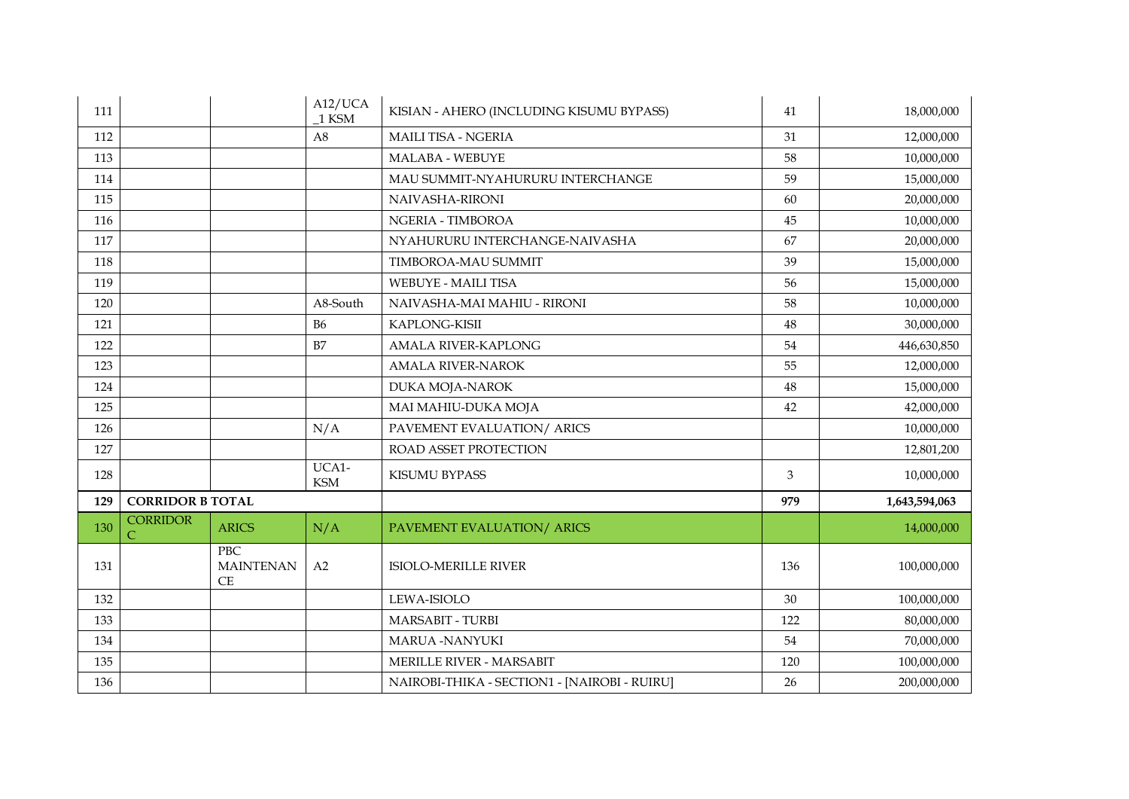| 111 |                              |                               | A12/UCA<br>1 KSM    | KISIAN - AHERO (INCLUDING KISUMU BYPASS)     | 41     | 18,000,000    |
|-----|------------------------------|-------------------------------|---------------------|----------------------------------------------|--------|---------------|
| 112 |                              |                               | A <sub>8</sub>      | <b>MAILI TISA - NGERIA</b>                   | 31     | 12,000,000    |
| 113 |                              |                               |                     | MALABA - WEBUYE                              | 58     | 10,000,000    |
| 114 |                              |                               |                     | MAU SUMMIT-NYAHURURU INTERCHANGE             | 59     | 15,000,000    |
| 115 |                              |                               |                     | NAIVASHA-RIRONI                              | 60     | 20,000,000    |
| 116 |                              |                               |                     | NGERIA - TIMBOROA                            | 45     | 10,000,000    |
| 117 |                              |                               |                     | NYAHURURU INTERCHANGE-NAIVASHA               | 67     | 20,000,000    |
| 118 |                              |                               |                     | <b>TIMBOROA-MAU SUMMIT</b>                   | 39     | 15,000,000    |
| 119 |                              |                               |                     | WEBUYE - MAILI TISA                          | 56     | 15,000,000    |
| 120 |                              |                               | A8-South            | NAIVASHA-MAI MAHIU - RIRONI                  | 58     | 10,000,000    |
| 121 |                              |                               | <b>B6</b>           | KAPLONG-KISII                                | 48     | 30,000,000    |
| 122 |                              |                               | B7                  | <b>AMALA RIVER-KAPLONG</b>                   | 54     | 446,630,850   |
| 123 |                              |                               |                     | <b>AMALA RIVER-NAROK</b>                     | 55     | 12,000,000    |
| 124 |                              |                               |                     | <b>DUKA MOJA-NAROK</b>                       | $48\,$ | 15,000,000    |
| 125 |                              |                               |                     | MAI MAHIU-DUKA MOJA                          | 42     | 42,000,000    |
| 126 |                              |                               | N/A                 | PAVEMENT EVALUATION/ ARICS                   |        | 10,000,000    |
| 127 |                              |                               |                     | ROAD ASSET PROTECTION                        |        | 12,801,200    |
| 128 |                              |                               | UCA1-<br><b>KSM</b> | KISUMU BYPASS                                | 3      | 10,000,000    |
| 129 | <b>CORRIDOR B TOTAL</b>      |                               |                     |                                              | 979    | 1,643,594,063 |
| 130 | <b>CORRIDOR</b><br>$\subset$ | <b>ARICS</b>                  | N/A                 | PAVEMENT EVALUATION/ ARICS                   |        | 14,000,000    |
| 131 |                              | PBC<br><b>MAINTENAN</b><br>CE | A2                  | <b>ISIOLO-MERILLE RIVER</b>                  | 136    | 100,000,000   |
| 132 |                              |                               |                     | LEWA-ISIOLO                                  | 30     | 100,000,000   |
| 133 |                              |                               |                     | <b>MARSABIT - TURBI</b>                      | 122    | 80,000,000    |
| 134 |                              |                               |                     | <b>MARUA -NANYUKI</b>                        | 54     | 70,000,000    |
| 135 |                              |                               |                     | <b>MERILLE RIVER - MARSABIT</b>              | 120    | 100,000,000   |
| 136 |                              |                               |                     | NAIROBI-THIKA - SECTION1 - [NAIROBI - RUIRU] | 26     | 200,000,000   |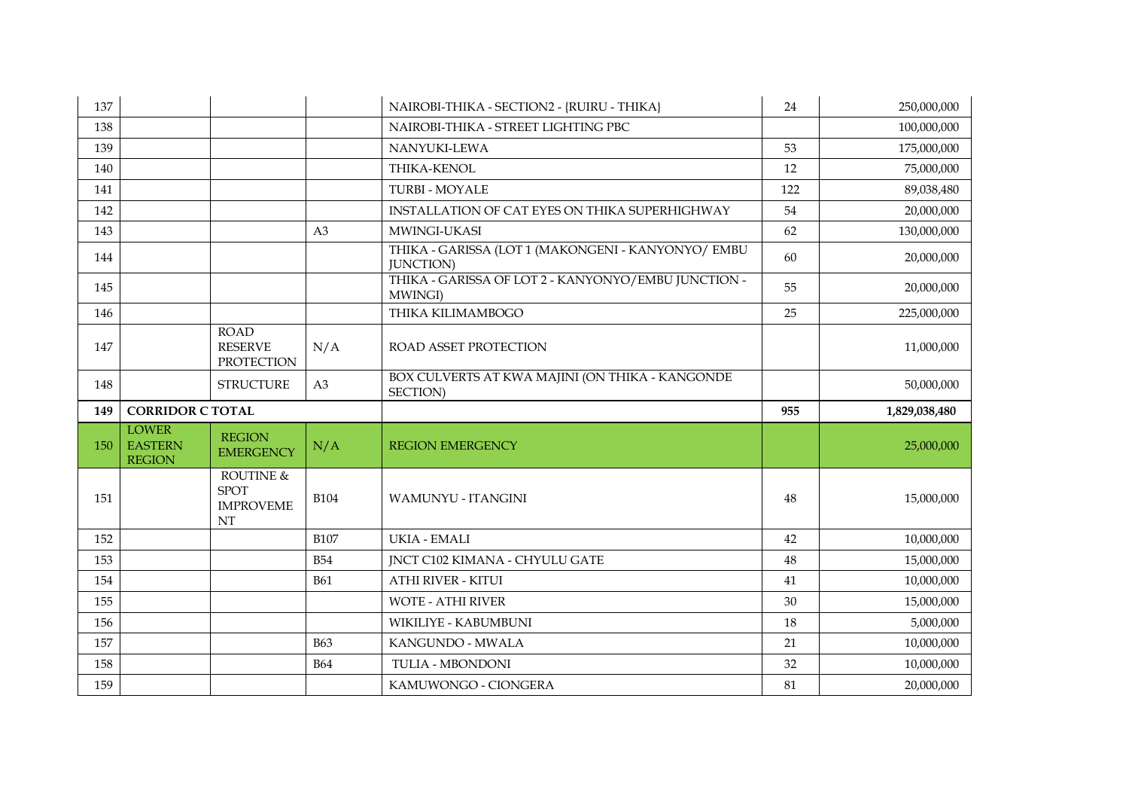| 137 |                                                 |                                                    |             | NAIROBI-THIKA - SECTION2 - {RUIRU - THIKA}                              | 24  | 250,000,000   |
|-----|-------------------------------------------------|----------------------------------------------------|-------------|-------------------------------------------------------------------------|-----|---------------|
| 138 |                                                 |                                                    |             | NAIROBI-THIKA - STREET LIGHTING PBC                                     |     | 100,000,000   |
| 139 |                                                 |                                                    |             | NANYUKI-LEWA                                                            | 53  | 175,000,000   |
| 140 |                                                 |                                                    |             | THIKA-KENOL                                                             | 12  | 75,000,000    |
| 141 |                                                 |                                                    |             | <b>TURBI - MOYALE</b>                                                   | 122 | 89,038,480    |
| 142 |                                                 |                                                    |             | INSTALLATION OF CAT EYES ON THIKA SUPERHIGHWAY                          | 54  | 20,000,000    |
| 143 |                                                 |                                                    | A3          | MWINGI-UKASI                                                            | 62  | 130,000,000   |
| 144 |                                                 |                                                    |             | THIKA - GARISSA (LOT 1 (MAKONGENI - KANYONYO/ EMBU<br><b>JUNCTION</b> ) | 60  | 20,000,000    |
| 145 |                                                 |                                                    |             | THIKA - GARISSA OF LOT 2 - KANYONYO/EMBU JUNCTION -<br>MWINGI)          | 55  | 20,000,000    |
| 146 |                                                 |                                                    |             | THIKA KILIMAMBOGO                                                       | 25  | 225,000,000   |
| 147 |                                                 | <b>ROAD</b><br><b>RESERVE</b><br><b>PROTECTION</b> | N/A         | <b>ROAD ASSET PROTECTION</b>                                            |     | 11,000,000    |
| 148 |                                                 | <b>STRUCTURE</b>                                   | A3          | BOX CULVERTS AT KWA MAJINI (ON THIKA - KANGONDE<br>SECTION)             |     | 50,000,000    |
|     |                                                 |                                                    |             |                                                                         |     |               |
| 149 | <b>CORRIDOR C TOTAL</b>                         |                                                    |             |                                                                         | 955 | 1,829,038,480 |
| 150 | <b>LOWER</b><br><b>EASTERN</b><br><b>REGION</b> | <b>REGION</b><br><b>EMERGENCY</b>                  | N/A         | <b>REGION EMERGENCY</b>                                                 |     | 25,000,000    |
| 151 |                                                 | ROUTINE &<br><b>SPOT</b><br><b>IMPROVEME</b><br>NT | <b>B104</b> | <b>WAMUNYU - ITANGINI</b>                                               | 48  | 15,000,000    |
| 152 |                                                 |                                                    | <b>B107</b> | <b>UKIA - EMALI</b>                                                     | 42  | 10,000,000    |
| 153 |                                                 |                                                    | <b>B54</b>  | <b>INCT C102 KIMANA - CHYULU GATE</b>                                   | 48  | 15,000,000    |
| 154 |                                                 |                                                    | <b>B61</b>  | <b>ATHI RIVER - KITUI</b>                                               | 41  | 10,000,000    |
| 155 |                                                 |                                                    |             | <b>WOTE - ATHI RIVER</b>                                                | 30  | 15,000,000    |
| 156 |                                                 |                                                    |             | WIKILIYE - KABUMBUNI                                                    | 18  | 5,000,000     |
| 157 |                                                 |                                                    | <b>B63</b>  | KANGUNDO - MWALA                                                        | 21  | 10,000,000    |
| 158 |                                                 |                                                    | <b>B64</b>  | <b>TULIA - MBONDONI</b>                                                 | 32  | 10,000,000    |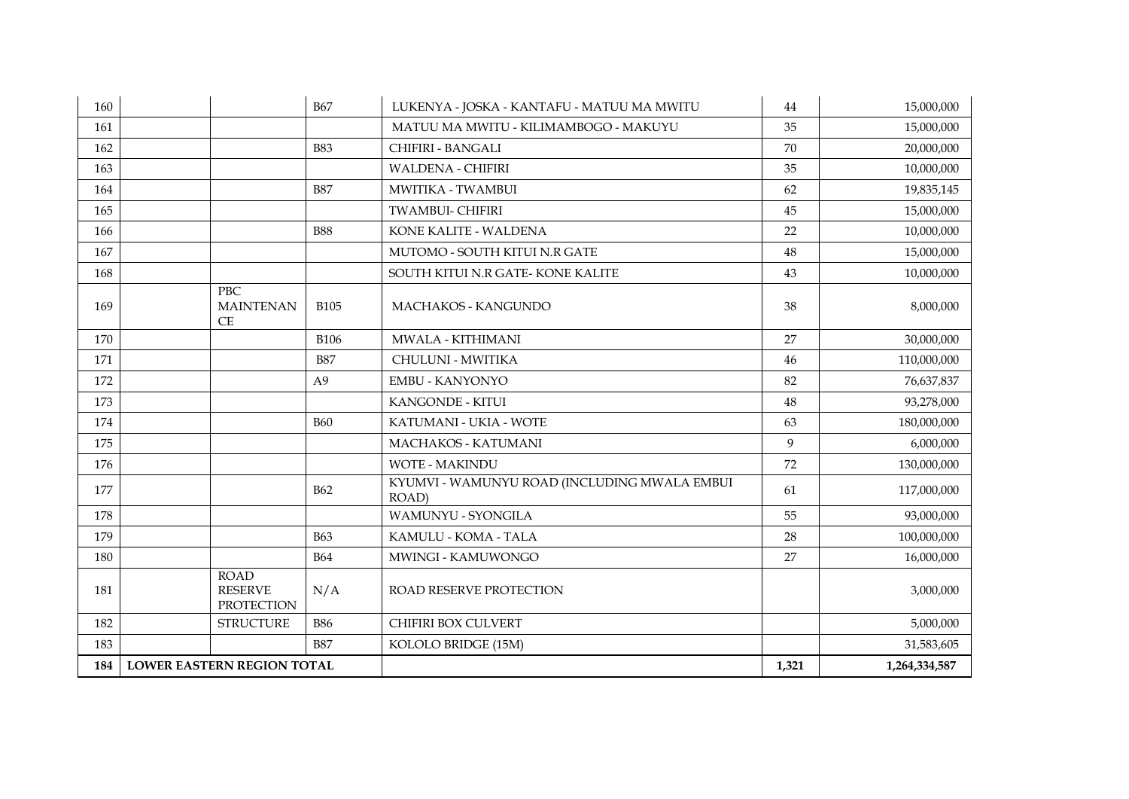| 160 |                                                    | <b>B67</b>     | LUKENYA - JOSKA - KANTAFU - MATUU MA MWITU            | 44    | 15,000,000    |
|-----|----------------------------------------------------|----------------|-------------------------------------------------------|-------|---------------|
| 161 |                                                    |                | MATUU MA MWITU - KILIMAMBOGO - MAKUYU                 | 35    | 15,000,000    |
| 162 |                                                    | <b>B83</b>     | CHIFIRI - BANGALI                                     | 70    | 20,000,000    |
| 163 |                                                    |                | <b>WALDENA - CHIFIRI</b>                              | 35    | 10,000,000    |
| 164 |                                                    | <b>B87</b>     | MWITIKA - TWAMBUI                                     | 62    | 19,835,145    |
| 165 |                                                    |                | <b>TWAMBUI- CHIFIRI</b>                               | 45    | 15,000,000    |
| 166 |                                                    | <b>B88</b>     | KONE KALITE - WALDENA                                 | 22    | 10,000,000    |
| 167 |                                                    |                | MUTOMO - SOUTH KITUI N.R GATE                         | 48    | 15,000,000    |
| 168 |                                                    |                | SOUTH KITUI N.R GATE-KONE KALITE                      | 43    | 10,000,000    |
| 169 | <b>PBC</b><br><b>MAINTENAN</b><br>CE               | <b>B105</b>    | MACHAKOS - KANGUNDO                                   | 38    | 8,000,000     |
| 170 |                                                    | <b>B106</b>    | MWALA - KITHIMANI                                     | 27    | 30,000,000    |
| 171 |                                                    | <b>B87</b>     | CHULUNI - MWITIKA                                     | 46    | 110,000,000   |
| 172 |                                                    | A <sub>9</sub> | <b>EMBU - KANYONYO</b>                                | 82    | 76,637,837    |
| 173 |                                                    |                | KANGONDE - KITUI                                      | 48    | 93,278,000    |
| 174 |                                                    | <b>B60</b>     | KATUMANI - UKIA - WOTE                                | 63    | 180,000,000   |
| 175 |                                                    |                | MACHAKOS - KATUMANI                                   | 9     | 6,000,000     |
| 176 |                                                    |                | <b>WOTE - MAKINDU</b>                                 | 72    | 130,000,000   |
| 177 |                                                    | <b>B62</b>     | KYUMVI - WAMUNYU ROAD (INCLUDING MWALA EMBUI<br>ROAD) | 61    | 117,000,000   |
| 178 |                                                    |                | <b>WAMUNYU - SYONGILA</b>                             | 55    | 93,000,000    |
| 179 |                                                    | <b>B63</b>     | KAMULU - KOMA - TALA                                  | 28    | 100,000,000   |
| 180 |                                                    | <b>B64</b>     | MWINGI - KAMUWONGO                                    | 27    | 16,000,000    |
| 181 | <b>ROAD</b><br><b>RESERVE</b><br><b>PROTECTION</b> | N/A            | ROAD RESERVE PROTECTION                               |       | 3,000,000     |
| 182 | <b>STRUCTURE</b>                                   | <b>B86</b>     | CHIFIRI BOX CULVERT                                   |       | 5,000,000     |
| 183 |                                                    | <b>B87</b>     | KOLOLO BRIDGE (15M)                                   |       | 31,583,605    |
| 184 | <b>LOWER EASTERN REGION TOTAL</b>                  |                |                                                       | 1,321 | 1,264,334,587 |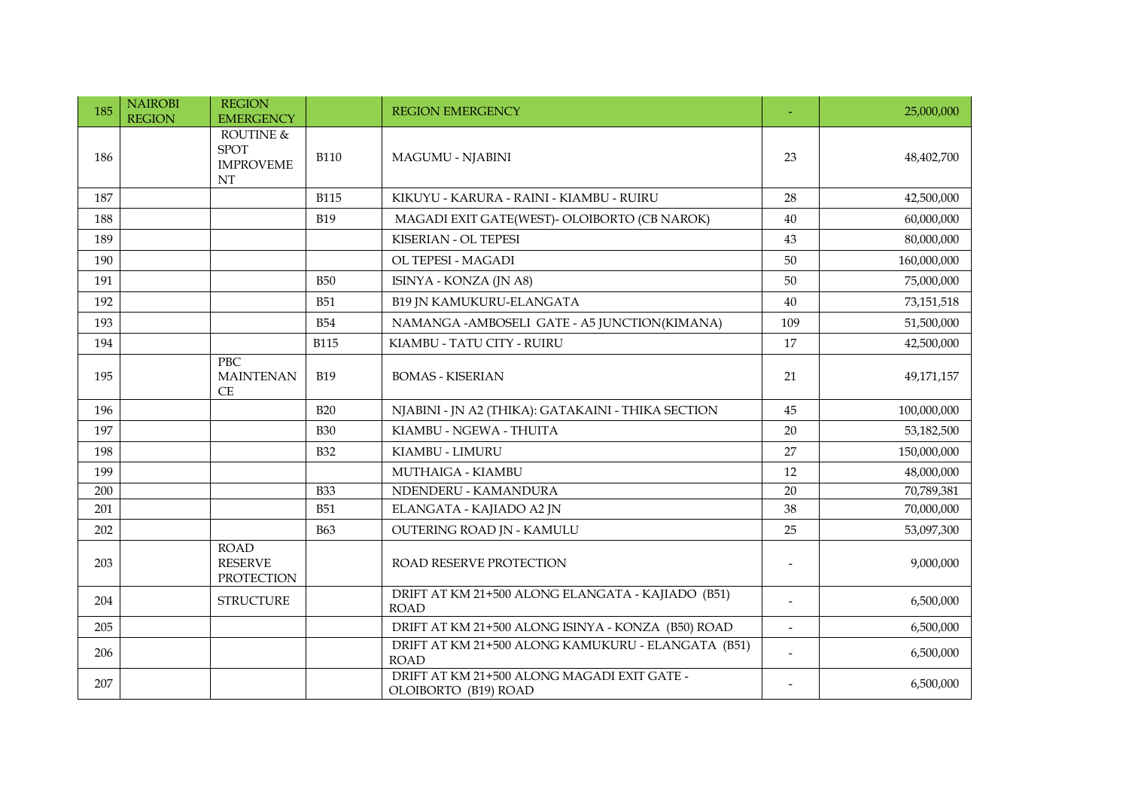| 185 | <b>NAIROBI</b><br><b>REGION</b> | <b>REGION</b><br><b>EMERGENCY</b>                  |             | <b>REGION EMERGENCY</b>                                             |                | 25,000,000  |
|-----|---------------------------------|----------------------------------------------------|-------------|---------------------------------------------------------------------|----------------|-------------|
| 186 |                                 | ROUTINE &<br><b>SPOT</b><br><b>IMPROVEME</b><br>NT | <b>B110</b> | <b>MAGUMU - NJABINI</b>                                             | 23             | 48,402,700  |
| 187 |                                 |                                                    | <b>B115</b> | KIKUYU - KARURA - RAINI - KIAMBU - RUIRU                            | 28             | 42,500,000  |
| 188 |                                 |                                                    | <b>B19</b>  | MAGADI EXIT GATE(WEST)- OLOIBORTO (CB NAROK)                        | 40             | 60,000,000  |
| 189 |                                 |                                                    |             | KISERIAN - OL TEPESI                                                | 43             | 80,000,000  |
| 190 |                                 |                                                    |             | OL TEPESI - MAGADI                                                  | 50             | 160,000,000 |
| 191 |                                 |                                                    | <b>B50</b>  | ISINYA - KONZA (JN A8)                                              | 50             | 75,000,000  |
| 192 |                                 |                                                    | <b>B51</b>  | <b>B19 JN KAMUKURU-ELANGATA</b>                                     | 40             | 73,151,518  |
| 193 |                                 |                                                    | <b>B54</b>  | NAMANGA - AMBOSELI GATE - A5 JUNCTION(KIMANA)                       | 109            | 51,500,000  |
| 194 |                                 |                                                    | <b>B115</b> | KIAMBU - TATU CITY - RUIRU                                          | 17             | 42,500,000  |
| 195 |                                 | PBC<br><b>MAINTENAN</b><br>CE                      | <b>B19</b>  | <b>BOMAS - KISERIAN</b>                                             | 21             | 49,171,157  |
| 196 |                                 |                                                    | <b>B20</b>  | NJABINI - JN A2 (THIKA): GATAKAINI - THIKA SECTION                  | 45             | 100,000,000 |
| 197 |                                 |                                                    | <b>B30</b>  | KIAMBU - NGEWA - THUITA                                             | 20             | 53,182,500  |
| 198 |                                 |                                                    | <b>B32</b>  | KIAMBU - LIMURU                                                     | 27             | 150,000,000 |
| 199 |                                 |                                                    |             | MUTHAIGA - KIAMBU                                                   | 12             | 48,000,000  |
| 200 |                                 |                                                    | <b>B</b> 33 | NDENDERU - KAMANDURA                                                | 20             | 70,789,381  |
| 201 |                                 |                                                    | <b>B51</b>  | ELANGATA - KAJIADO A2 JN                                            | 38             | 70,000,000  |
| 202 |                                 |                                                    | <b>B63</b>  | OUTERING ROAD JN - KAMULU                                           | 25             | 53,097,300  |
| 203 |                                 | <b>ROAD</b><br><b>RESERVE</b><br><b>PROTECTION</b> |             | <b>ROAD RESERVE PROTECTION</b>                                      |                | 9,000,000   |
| 204 |                                 | <b>STRUCTURE</b>                                   |             | DRIFT AT KM 21+500 ALONG ELANGATA - KAJIADO (B51)<br><b>ROAD</b>    | $\overline{a}$ | 6,500,000   |
| 205 |                                 |                                                    |             | DRIFT AT KM 21+500 ALONG ISINYA - KONZA (B50) ROAD                  |                | 6,500,000   |
| 206 |                                 |                                                    |             | DRIFT AT KM 21+500 ALONG KAMUKURU - ELANGATA (B51)<br><b>ROAD</b>   |                | 6,500,000   |
| 207 |                                 |                                                    |             | DRIFT AT KM 21+500 ALONG MAGADI EXIT GATE -<br>OLOIBORTO (B19) ROAD |                | 6,500,000   |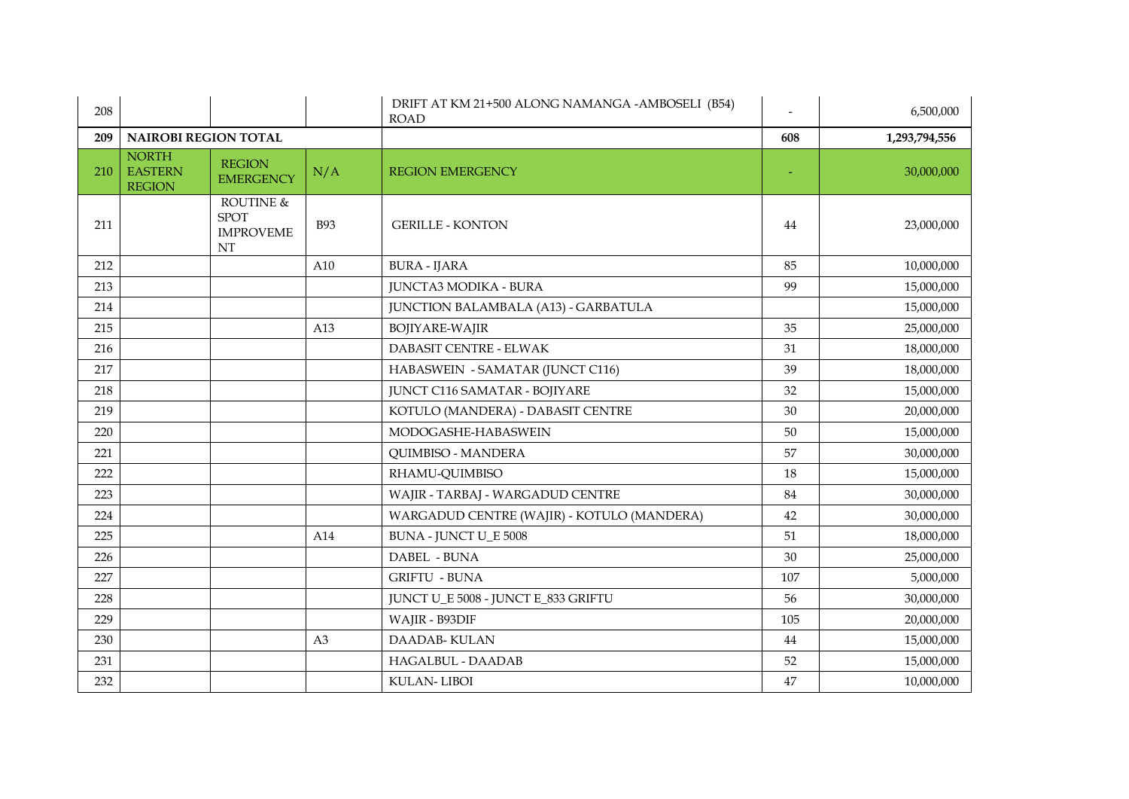| 208 |                                                 |                                                    |            | DRIFT AT KM 21+500 ALONG NAMANGA -AMBOSELI (B54)<br><b>ROAD</b> |     | 6,500,000     |
|-----|-------------------------------------------------|----------------------------------------------------|------------|-----------------------------------------------------------------|-----|---------------|
| 209 | <b>NAIROBI REGION TOTAL</b>                     |                                                    |            |                                                                 | 608 | 1,293,794,556 |
| 210 | <b>NORTH</b><br><b>EASTERN</b><br><b>REGION</b> | <b>REGION</b><br><b>EMERGENCY</b>                  | N/A        | <b>REGION EMERGENCY</b>                                         |     | 30,000,000    |
| 211 |                                                 | ROUTINE &<br><b>SPOT</b><br><b>IMPROVEME</b><br>NT | <b>B93</b> | <b>GERILLE - KONTON</b>                                         | 44  | 23,000,000    |
| 212 |                                                 |                                                    | A10        | <b>BURA - IJARA</b>                                             | 85  | 10,000,000    |
| 213 |                                                 |                                                    |            | <b>JUNCTA3 MODIKA - BURA</b>                                    | 99  | 15,000,000    |
| 214 |                                                 |                                                    |            | <b>JUNCTION BALAMBALA (A13) - GARBATULA</b>                     |     | 15,000,000    |
| 215 |                                                 |                                                    | A13        | <b>BOJIYARE-WAJIR</b>                                           | 35  | 25,000,000    |
| 216 |                                                 |                                                    |            | DABASIT CENTRE - ELWAK                                          | 31  | 18,000,000    |
| 217 |                                                 |                                                    |            | HABASWEIN - SAMATAR (JUNCT C116)                                | 39  | 18,000,000    |
| 218 |                                                 |                                                    |            | <b>JUNCT C116 SAMATAR - BOJIYARE</b>                            | 32  | 15,000,000    |
| 219 |                                                 |                                                    |            | KOTULO (MANDERA) - DABASIT CENTRE                               | 30  | 20,000,000    |
| 220 |                                                 |                                                    |            | MODOGASHE-HABASWEIN                                             | 50  | 15,000,000    |
| 221 |                                                 |                                                    |            | <b>QUIMBISO - MANDERA</b>                                       | 57  | 30,000,000    |
| 222 |                                                 |                                                    |            | RHAMU-QUIMBISO                                                  | 18  | 15,000,000    |
| 223 |                                                 |                                                    |            | WAJIR - TARBAJ - WARGADUD CENTRE                                | 84  | 30,000,000    |
| 224 |                                                 |                                                    |            | WARGADUD CENTRE (WAJIR) - KOTULO (MANDERA)                      | 42  | 30,000,000    |
| 225 |                                                 |                                                    | A14        | <b>BUNA - JUNCT U_E 5008</b>                                    | 51  | 18,000,000    |
| 226 |                                                 |                                                    |            | DABEL - BUNA                                                    | 30  | 25,000,000    |
| 227 |                                                 |                                                    |            | <b>GRIFTU - BUNA</b>                                            | 107 | 5,000,000     |
| 228 |                                                 |                                                    |            | JUNCT U_E 5008 - JUNCT E_833 GRIFTU                             | 56  | 30,000,000    |
| 229 |                                                 |                                                    |            | WAJIR - B93DIF                                                  | 105 | 20,000,000    |
| 230 |                                                 |                                                    | A3         | DAADAB-KULAN                                                    | 44  | 15,000,000    |
| 231 |                                                 |                                                    |            | HAGALBUL - DAADAB                                               | 52  | 15,000,000    |
| 232 |                                                 |                                                    |            | <b>KULAN-LIBOI</b>                                              | 47  | 10,000,000    |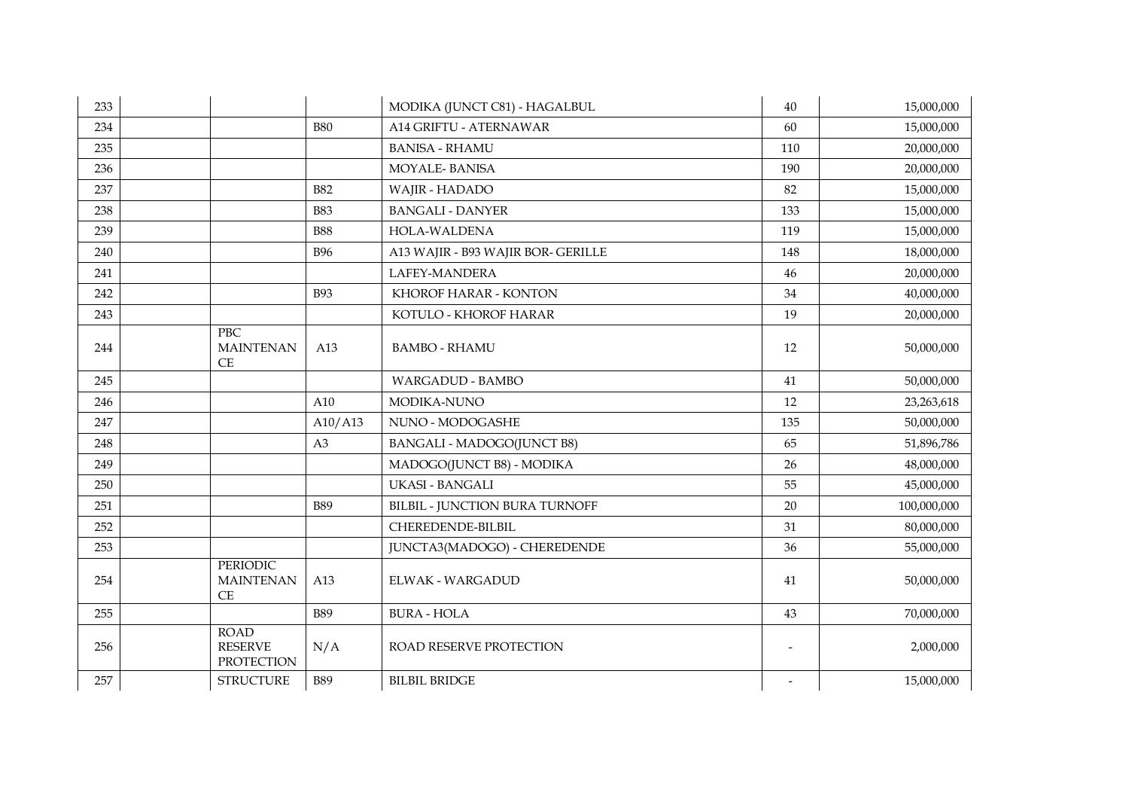| 233 |                                                    |            | MODIKA (JUNCT C81) - HAGALBUL      | 40                       | 15,000,000  |
|-----|----------------------------------------------------|------------|------------------------------------|--------------------------|-------------|
| 234 |                                                    | <b>B80</b> | A14 GRIFTU - ATERNAWAR             | 60                       | 15,000,000  |
| 235 |                                                    |            | <b>BANISA - RHAMU</b>              | 110                      | 20,000,000  |
| 236 |                                                    |            | <b>MOYALE-BANISA</b>               | 190                      | 20,000,000  |
| 237 |                                                    | <b>B82</b> | WAJIR - HADADO                     | 82                       | 15,000,000  |
| 238 |                                                    | <b>B83</b> | <b>BANGALI - DANYER</b>            | 133                      | 15,000,000  |
| 239 |                                                    | <b>B88</b> | HOLA-WALDENA                       | 119                      | 15,000,000  |
| 240 |                                                    | <b>B96</b> | A13 WAJIR - B93 WAJIR BOR- GERILLE | 148                      | 18,000,000  |
| 241 |                                                    |            | LAFEY-MANDERA                      | 46                       | 20,000,000  |
| 242 |                                                    | <b>B93</b> | KHOROF HARAR - KONTON              | 34                       | 40,000,000  |
| 243 |                                                    |            | KOTULO - KHOROF HARAR              | 19                       | 20,000,000  |
| 244 | <b>PBC</b><br><b>MAINTENAN</b><br>CE               | A13        | <b>BAMBO - RHAMU</b>               | 12                       | 50,000,000  |
| 245 |                                                    |            | <b>WARGADUD - BAMBO</b>            | 41                       | 50,000,000  |
| 246 |                                                    | A10        | MODIKA-NUNO                        | 12                       | 23,263,618  |
| 247 |                                                    | A10/A13    | NUNO - MODOGASHE                   | 135                      | 50,000,000  |
| 248 |                                                    | A3         | <b>BANGALI - MADOGO(JUNCT B8)</b>  | 65                       | 51,896,786  |
| 249 |                                                    |            | MADOGO(JUNCT B8) - MODIKA          | 26                       | 48,000,000  |
| 250 |                                                    |            | <b>UKASI - BANGALI</b>             | 55                       | 45,000,000  |
| 251 |                                                    | <b>B89</b> | BILBIL - JUNCTION BURA TURNOFF     | 20                       | 100,000,000 |
| 252 |                                                    |            | CHEREDENDE-BILBIL                  | 31                       | 80,000,000  |
| 253 |                                                    |            | JUNCTA3(MADOGO) - CHEREDENDE       | 36                       | 55,000,000  |
| 254 | PERIODIC<br><b>MAINTENAN</b><br>CE                 | A13        | <b>ELWAK - WARGADUD</b>            | 41                       | 50,000,000  |
| 255 |                                                    | <b>B89</b> | <b>BURA - HOLA</b>                 | 43                       | 70,000,000  |
| 256 | <b>ROAD</b><br><b>RESERVE</b><br><b>PROTECTION</b> | N/A        | <b>ROAD RESERVE PROTECTION</b>     | $\overline{\phantom{a}}$ | 2,000,000   |
| 257 | <b>STRUCTURE</b>                                   | <b>B89</b> | <b>BILBIL BRIDGE</b>               | $\overline{\phantom{a}}$ | 15,000,000  |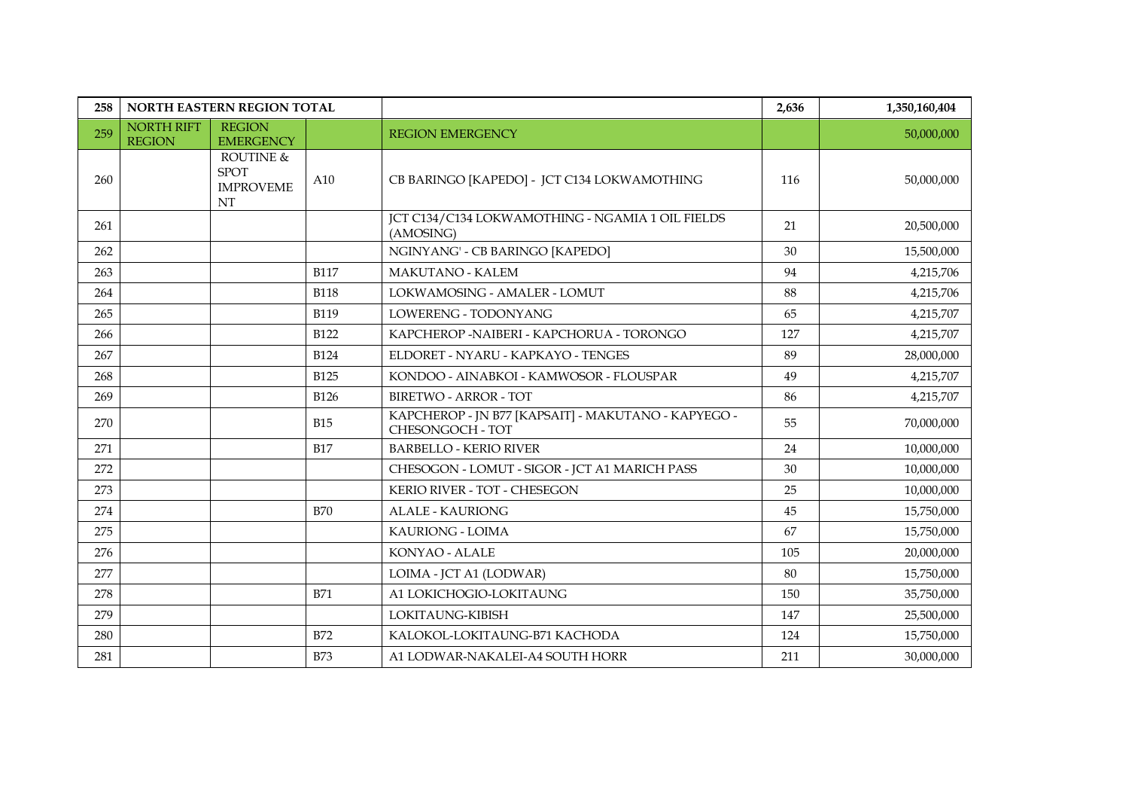| 258 | NORTH EASTERN REGION TOTAL         |                                                           |             |                                                                         | 2,636 | 1,350,160,404 |
|-----|------------------------------------|-----------------------------------------------------------|-------------|-------------------------------------------------------------------------|-------|---------------|
| 259 | <b>NORTH RIFT</b><br><b>REGION</b> | <b>REGION</b><br><b>EMERGENCY</b>                         |             | <b>REGION EMERGENCY</b>                                                 |       | 50,000,000    |
| 260 |                                    | ROUTINE &<br><b>SPOT</b><br><b>IMPROVEME</b><br>$\rm{NT}$ | A10         | CB BARINGO [KAPEDO] - JCT C134 LOKWAMOTHING                             | 116   | 50,000,000    |
| 261 |                                    |                                                           |             | JCT C134/C134 LOKWAMOTHING - NGAMIA 1 OIL FIELDS<br>(AMOSING)           | 21    | 20,500,000    |
| 262 |                                    |                                                           |             | NGINYANG' - CB BARINGO [KAPEDO]                                         | 30    | 15,500,000    |
| 263 |                                    |                                                           | <b>B117</b> | MAKUTANO - KALEM                                                        | 94    | 4,215,706     |
| 264 |                                    |                                                           | <b>B118</b> | LOKWAMOSING - AMALER - LOMUT                                            | 88    | 4,215,706     |
| 265 |                                    |                                                           | <b>B119</b> | LOWERENG - TODONYANG                                                    | 65    | 4,215,707     |
| 266 |                                    |                                                           | <b>B122</b> | KAPCHEROP - NAIBERI - KAPCHORUA - TORONGO                               | 127   | 4,215,707     |
| 267 |                                    |                                                           | <b>B124</b> | ELDORET - NYARU - KAPKAYO - TENGES                                      | 89    | 28,000,000    |
| 268 |                                    |                                                           | <b>B125</b> | KONDOO - AINABKOI - KAMWOSOR - FLOUSPAR                                 | 49    | 4,215,707     |
| 269 |                                    |                                                           | <b>B126</b> | <b>BIRETWO - ARROR - TOT</b>                                            | 86    | 4,215,707     |
| 270 |                                    |                                                           | <b>B15</b>  | KAPCHEROP - JN B77 [KAPSAIT] - MAKUTANO - KAPYEGO -<br>CHESONGOCH - TOT | 55    | 70,000,000    |
| 271 |                                    |                                                           | <b>B17</b>  | <b>BARBELLO - KERIO RIVER</b>                                           | 24    | 10,000,000    |
| 272 |                                    |                                                           |             | CHESOGON - LOMUT - SIGOR - JCT A1 MARICH PASS                           | 30    | 10,000,000    |
| 273 |                                    |                                                           |             | KERIO RIVER - TOT - CHESEGON                                            | 25    | 10,000,000    |
| 274 |                                    |                                                           | <b>B70</b>  | <b>ALALE - KAURIONG</b>                                                 | 45    | 15,750,000    |
| 275 |                                    |                                                           |             | <b>KAURIONG - LOIMA</b>                                                 | 67    | 15,750,000    |
| 276 |                                    |                                                           |             | KONYAO - ALALE                                                          | 105   | 20,000,000    |
| 277 |                                    |                                                           |             | LOIMA - JCT A1 (LODWAR)                                                 | 80    | 15,750,000    |
| 278 |                                    |                                                           | <b>B71</b>  | A1 LOKICHOGIO-LOKITAUNG                                                 | 150   | 35,750,000    |
| 279 |                                    |                                                           |             | LOKITAUNG-KIBISH                                                        | 147   | 25,500,000    |
| 280 |                                    |                                                           | <b>B72</b>  | KALOKOL-LOKITAUNG-B71 KACHODA                                           | 124   | 15,750,000    |
| 281 |                                    |                                                           | <b>B73</b>  | A1 LODWAR-NAKALEI-A4 SOUTH HORR                                         | 211   | 30,000,000    |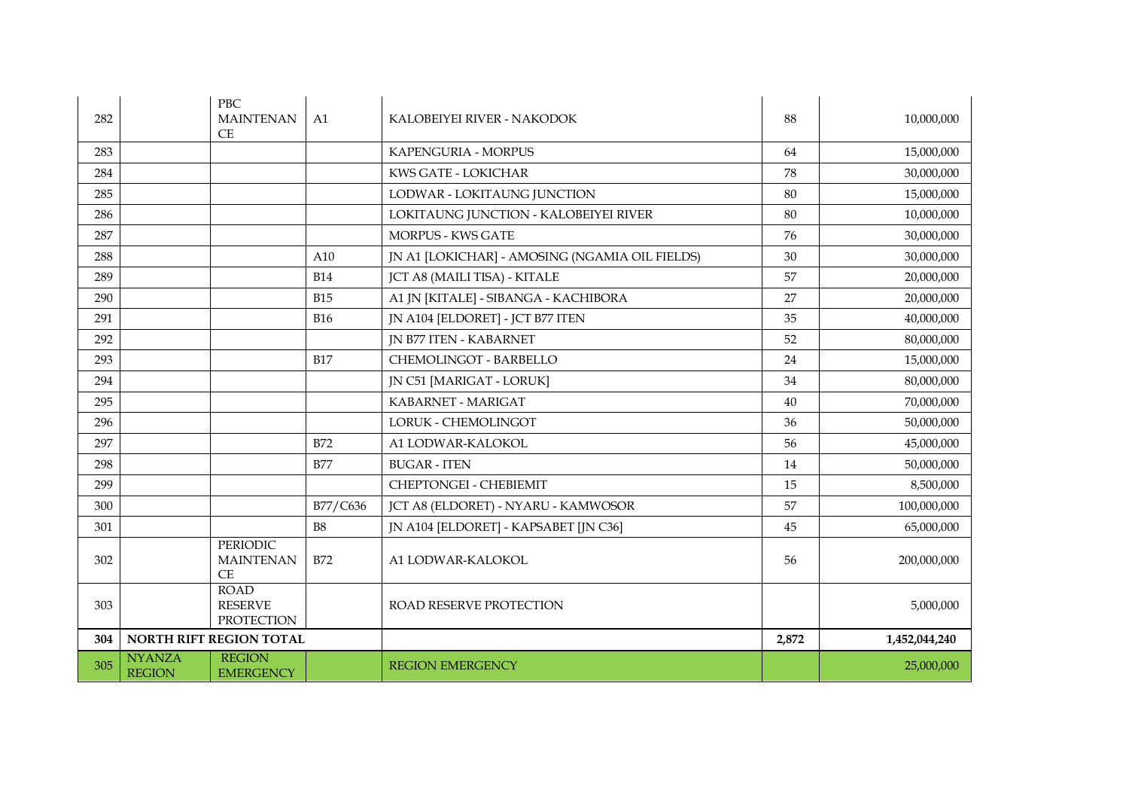| 282 | <b>PBC</b><br><b>MAINTENAN</b><br>CE                                | A1         | KALOBEIYEI RIVER - NAKODOK                     | 88    | 10,000,000    |
|-----|---------------------------------------------------------------------|------------|------------------------------------------------|-------|---------------|
| 283 |                                                                     |            | KAPENGURIA - MORPUS                            | 64    | 15,000,000    |
| 284 |                                                                     |            | KWS GATE - LOKICHAR                            | 78    | 30,000,000    |
| 285 |                                                                     |            | LODWAR - LOKITAUNG JUNCTION                    | 80    | 15,000,000    |
| 286 |                                                                     |            | LOKITAUNG JUNCTION - KALOBEIYEI RIVER          | 80    | 10,000,000    |
| 287 |                                                                     |            | <b>MORPUS - KWS GATE</b>                       | 76    | 30,000,000    |
| 288 |                                                                     | A10        | JN A1 [LOKICHAR] - AMOSING (NGAMIA OIL FIELDS) | 30    | 30,000,000    |
| 289 |                                                                     | <b>B14</b> | JCT A8 (MAILI TISA) - KITALE                   | 57    | 20,000,000    |
| 290 |                                                                     | <b>B15</b> | A1 JN [KITALE] - SIBANGA - KACHIBORA           | 27    | 20,000,000    |
| 291 |                                                                     | <b>B16</b> | JN A104 [ELDORET] - JCT B77 ITEN               | 35    | 40,000,000    |
| 292 |                                                                     |            | <b>JN B77 ITEN - KABARNET</b>                  | 52    | 80,000,000    |
| 293 |                                                                     | <b>B17</b> | CHEMOLINGOT - BARBELLO                         | 24    | 15,000,000    |
| 294 |                                                                     |            | JN C51 [MARIGAT - LORUK]                       | 34    | 80,000,000    |
| 295 |                                                                     |            | KABARNET - MARIGAT                             | 40    | 70,000,000    |
| 296 |                                                                     |            | LORUK - CHEMOLINGOT                            | 36    | 50,000,000    |
| 297 |                                                                     | <b>B72</b> | A1 LODWAR-KALOKOL                              | 56    | 45,000,000    |
| 298 |                                                                     | <b>B77</b> | <b>BUGAR - ITEN</b>                            | 14    | 50,000,000    |
| 299 |                                                                     |            | CHEPTONGEI - CHEBIEMIT                         | 15    | 8,500,000     |
| 300 |                                                                     | B77/C636   | JCT A8 (ELDORET) - NYARU - KAMWOSOR            | 57    | 100,000,000   |
| 301 |                                                                     | <b>B8</b>  | JN A104 [ELDORET] - KAPSABET [JN C36]          | 45    | 65,000,000    |
| 302 | <b>PERIODIC</b><br><b>MAINTENAN</b><br><b>CE</b>                    | <b>B72</b> | A1 LODWAR-KALOKOL                              | 56    | 200,000,000   |
| 303 | <b>ROAD</b><br><b>RESERVE</b><br><b>PROTECTION</b>                  |            | ROAD RESERVE PROTECTION                        |       | 5,000,000     |
| 304 | NORTH RIFT REGION TOTAL                                             |            |                                                | 2,872 | 1,452,044,240 |
| 305 | <b>REGION</b><br><b>NYANZA</b><br><b>REGION</b><br><b>EMERGENCY</b> |            | <b>REGION EMERGENCY</b>                        |       | 25,000,000    |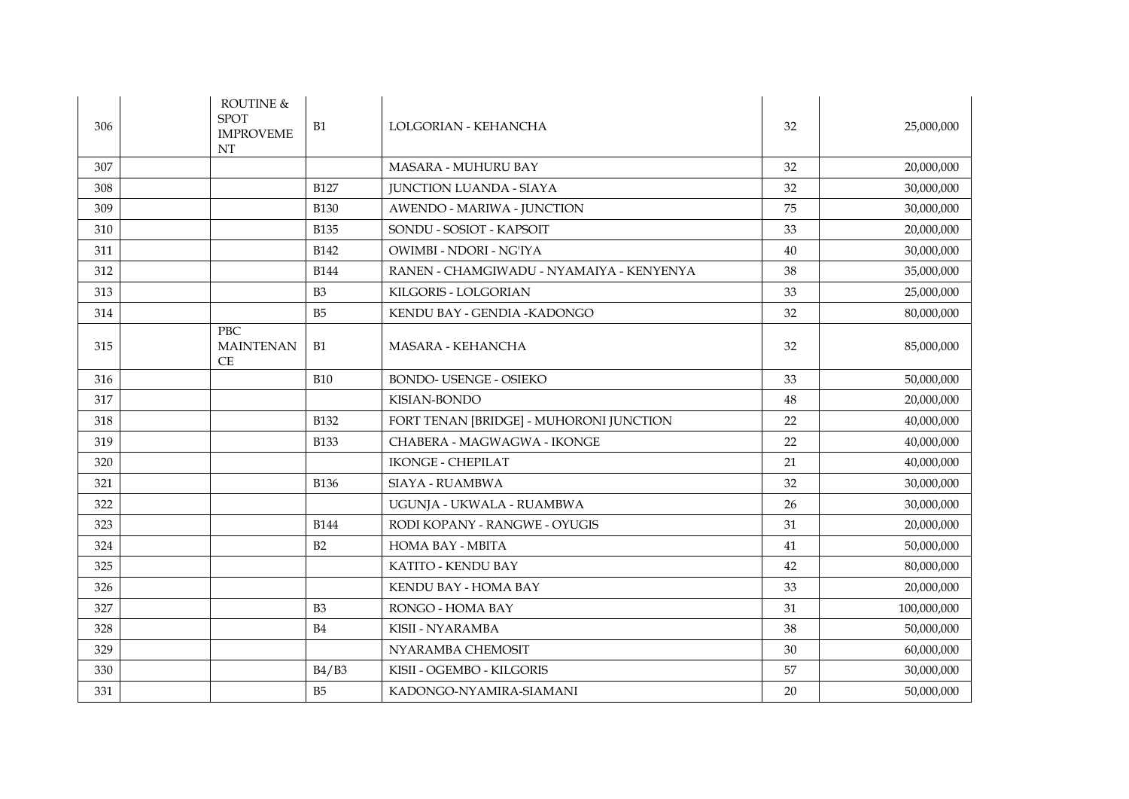| 306 | ROUTINE $\&$<br><b>SPOT</b><br><b>IMPROVEME</b><br>NT | B1             | LOLGORIAN - KEHANCHA                     | 32 | 25,000,000  |
|-----|-------------------------------------------------------|----------------|------------------------------------------|----|-------------|
| 307 |                                                       |                | <b>MASARA - MUHURU BAY</b>               | 32 | 20,000,000  |
| 308 |                                                       | <b>B127</b>    | <b>JUNCTION LUANDA - SIAYA</b>           | 32 | 30,000,000  |
| 309 |                                                       | <b>B130</b>    | AWENDO - MARIWA - JUNCTION               | 75 | 30,000,000  |
| 310 |                                                       | <b>B135</b>    | SONDU - SOSIOT - KAPSOIT                 | 33 | 20,000,000  |
| 311 |                                                       | <b>B142</b>    | OWIMBI - NDORI - NG'IYA                  | 40 | 30,000,000  |
| 312 |                                                       | <b>B144</b>    | RANEN - CHAMGIWADU - NYAMAIYA - KENYENYA | 38 | 35,000,000  |
| 313 |                                                       | B <sub>3</sub> | KILGORIS - LOLGORIAN                     | 33 | 25,000,000  |
| 314 |                                                       | B <sub>5</sub> | KENDU BAY - GENDIA - KADONGO             | 32 | 80,000,000  |
| 315 | <b>PBC</b><br><b>MAINTENAN</b><br>CE                  | B1             | <b>MASARA - KEHANCHA</b>                 | 32 | 85,000,000  |
| 316 |                                                       | <b>B10</b>     | <b>BONDO- USENGE - OSIEKO</b>            | 33 | 50,000,000  |
| 317 |                                                       |                | KISIAN-BONDO                             | 48 | 20,000,000  |
| 318 |                                                       | <b>B132</b>    | FORT TENAN [BRIDGE] - MUHORONI JUNCTION  | 22 | 40,000,000  |
| 319 |                                                       | <b>B133</b>    | CHABERA - MAGWAGWA - IKONGE              | 22 | 40,000,000  |
| 320 |                                                       |                | <b>IKONGE - CHEPILAT</b>                 | 21 | 40,000,000  |
| 321 |                                                       | <b>B136</b>    | SIAYA - RUAMBWA                          | 32 | 30,000,000  |
| 322 |                                                       |                | UGUNJA - UKWALA - RUAMBWA                | 26 | 30,000,000  |
| 323 |                                                       | <b>B144</b>    | RODI KOPANY - RANGWE - OYUGIS            | 31 | 20,000,000  |
| 324 |                                                       | B2             | <b>HOMA BAY - MBITA</b>                  | 41 | 50,000,000  |
| 325 |                                                       |                | KATITO - KENDU BAY                       | 42 | 80,000,000  |
| 326 |                                                       |                | KENDU BAY - HOMA BAY                     | 33 | 20,000,000  |
| 327 |                                                       | B <sub>3</sub> | RONGO - HOMA BAY                         | 31 | 100,000,000 |
| 328 |                                                       | B <sub>4</sub> | KISII - NYARAMBA                         | 38 | 50,000,000  |
| 329 |                                                       |                | NYARAMBA CHEMOSIT                        | 30 | 60,000,000  |
| 330 |                                                       | B4/B3          | KISII - OGEMBO - KILGORIS                | 57 | 30,000,000  |
| 331 |                                                       | <b>B5</b>      | KADONGO-NYAMIRA-SIAMANI                  | 20 | 50,000,000  |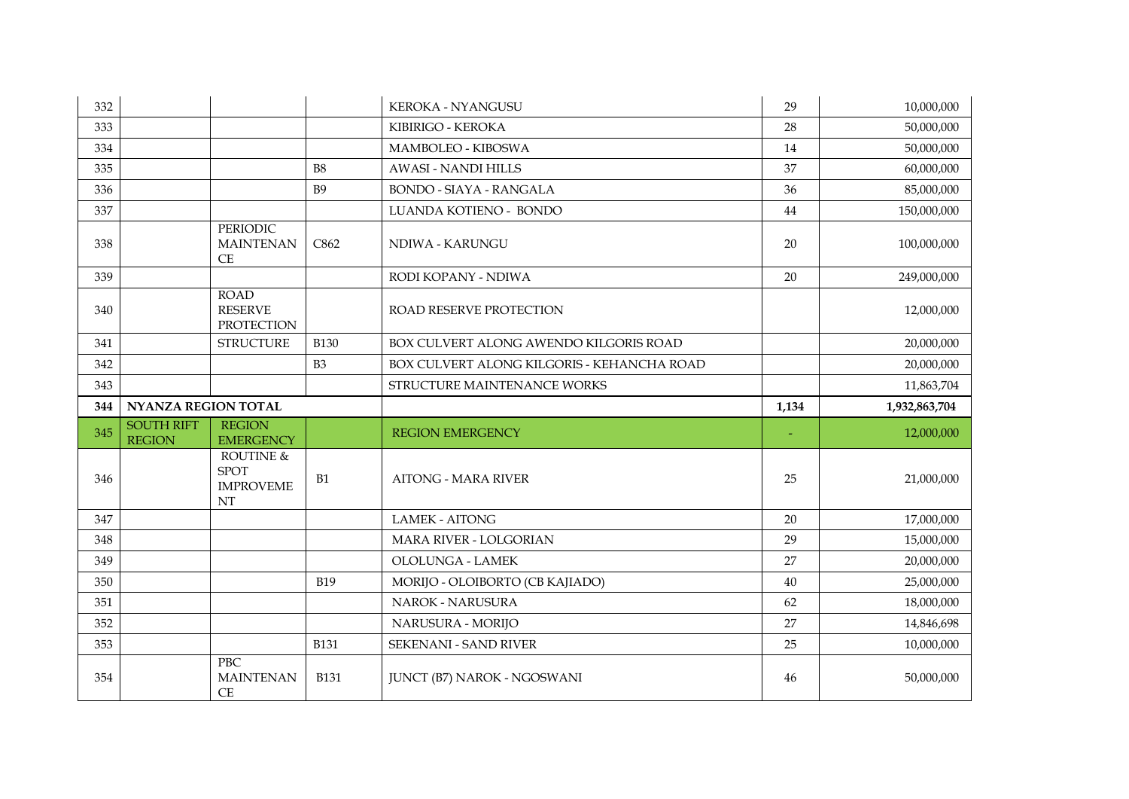| 332 |                                    |                                                    |                | <b>KEROKA - NYANGUSU</b>                   | 29    | 10,000,000    |
|-----|------------------------------------|----------------------------------------------------|----------------|--------------------------------------------|-------|---------------|
| 333 |                                    |                                                    |                | KIBIRIGO - KEROKA                          | 28    | 50,000,000    |
| 334 |                                    |                                                    |                | <b>MAMBOLEO - KIBOSWA</b>                  | 14    | 50,000,000    |
| 335 |                                    |                                                    | <b>B8</b>      | <b>AWASI - NANDI HILLS</b>                 | 37    | 60,000,000    |
| 336 |                                    |                                                    | <b>B9</b>      | <b>BONDO - SIAYA - RANGALA</b>             | 36    | 85,000,000    |
| 337 |                                    |                                                    |                | LUANDA KOTIENO - BONDO                     | 44    | 150,000,000   |
| 338 |                                    | <b>PERIODIC</b><br><b>MAINTENAN</b><br>CE          | C862           | NDIWA - KARUNGU                            | 20    | 100,000,000   |
| 339 |                                    |                                                    |                | RODI KOPANY - NDIWA                        | 20    | 249,000,000   |
| 340 |                                    | <b>ROAD</b><br><b>RESERVE</b><br><b>PROTECTION</b> |                | ROAD RESERVE PROTECTION                    |       | 12,000,000    |
| 341 |                                    | <b>STRUCTURE</b>                                   | <b>B130</b>    | BOX CULVERT ALONG AWENDO KILGORIS ROAD     |       | 20,000,000    |
| 342 |                                    |                                                    | B <sub>3</sub> | BOX CULVERT ALONG KILGORIS - KEHANCHA ROAD |       | 20,000,000    |
| 343 |                                    |                                                    |                | STRUCTURE MAINTENANCE WORKS                |       | 11,863,704    |
|     |                                    |                                                    |                |                                            |       |               |
| 344 | <b>NYANZA REGION TOTAL</b>         |                                                    |                |                                            | 1,134 | 1,932,863,704 |
| 345 | <b>SOUTH RIFT</b><br><b>REGION</b> | <b>REGION</b><br><b>EMERGENCY</b>                  |                | <b>REGION EMERGENCY</b>                    |       | 12,000,000    |
| 346 |                                    | ROUTINE &<br><b>SPOT</b><br><b>IMPROVEME</b><br>NT | B1             | <b>AITONG - MARA RIVER</b>                 | 25    | 21,000,000    |
| 347 |                                    |                                                    |                | <b>LAMEK - AITONG</b>                      | 20    | 17,000,000    |
| 348 |                                    |                                                    |                | <b>MARA RIVER - LOLGORIAN</b>              | 29    | 15,000,000    |
| 349 |                                    |                                                    |                | OLOLUNGA - LAMEK                           | 27    | 20,000,000    |
| 350 |                                    |                                                    | <b>B19</b>     | MORIJO - OLOIBORTO (CB KAJIADO)            | 40    | 25,000,000    |
| 351 |                                    |                                                    |                | NAROK - NARUSURA                           | 62    | 18,000,000    |
| 352 |                                    |                                                    |                | NARUSURA - MORIJO                          | 27    | 14,846,698    |
| 353 |                                    | <b>PBC</b>                                         | <b>B131</b>    | <b>SEKENANI - SAND RIVER</b>               | 25    | 10,000,000    |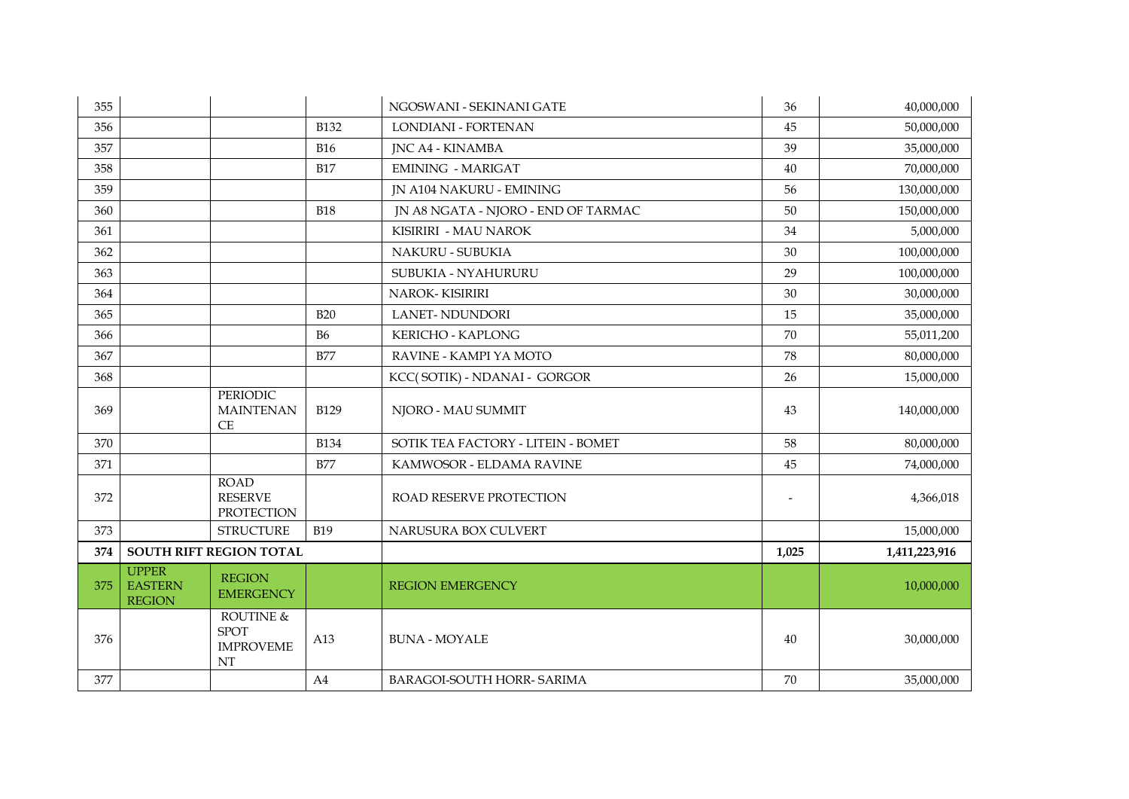| 355 |                                                 |                                                    |             | NGOSWANI - SEKINANI GATE            | 36    | 40,000,000    |
|-----|-------------------------------------------------|----------------------------------------------------|-------------|-------------------------------------|-------|---------------|
| 356 |                                                 |                                                    | <b>B132</b> | LONDIANI - FORTENAN                 | 45    | 50,000,000    |
| 357 |                                                 |                                                    | <b>B16</b>  | <b>JNC A4 - KINAMBA</b>             | 39    | 35,000,000    |
| 358 |                                                 |                                                    | <b>B17</b>  | <b>EMINING - MARIGAT</b>            | 40    | 70,000,000    |
| 359 |                                                 |                                                    |             | JN A104 NAKURU - EMINING            | 56    | 130,000,000   |
| 360 |                                                 |                                                    | <b>B18</b>  | IN A8 NGATA - NJORO - END OF TARMAC | 50    | 150,000,000   |
| 361 |                                                 |                                                    |             | KISIRIRI - MAU NAROK                | 34    | 5,000,000     |
| 362 |                                                 |                                                    |             | NAKURU - SUBUKIA                    | 30    | 100,000,000   |
| 363 |                                                 |                                                    |             | SUBUKIA - NYAHURURU                 | 29    | 100,000,000   |
| 364 |                                                 |                                                    |             | <b>NAROK-KISIRIRI</b>               | 30    | 30,000,000    |
| 365 |                                                 |                                                    | <b>B20</b>  | <b>LANET-NDUNDORI</b>               | 15    | 35,000,000    |
| 366 |                                                 |                                                    | <b>B6</b>   | <b>KERICHO - KAPLONG</b>            | 70    | 55,011,200    |
| 367 |                                                 |                                                    | <b>B77</b>  | RAVINE - KAMPI YA MOTO              | 78    | 80,000,000    |
| 368 |                                                 |                                                    |             | KCC(SOTIK) - NDANAI - GORGOR        | 26    | 15,000,000    |
| 369 |                                                 | <b>PERIODIC</b><br><b>MAINTENAN</b><br>CE          | <b>B129</b> | NJORO - MAU SUMMIT                  | 43    | 140,000,000   |
| 370 |                                                 |                                                    | <b>B134</b> | SOTIK TEA FACTORY - LITEIN - BOMET  | 58    | 80,000,000    |
| 371 |                                                 |                                                    | <b>B77</b>  | KAMWOSOR - ELDAMA RAVINE            | 45    | 74,000,000    |
| 372 |                                                 | <b>ROAD</b><br><b>RESERVE</b><br><b>PROTECTION</b> |             | ROAD RESERVE PROTECTION             |       | 4,366,018     |
| 373 |                                                 | <b>STRUCTURE</b>                                   | <b>B19</b>  | NARUSURA BOX CULVERT                |       | 15,000,000    |
| 374 | <b>SOUTH RIFT REGION TOTAL</b>                  |                                                    |             |                                     | 1,025 | 1,411,223,916 |
| 375 | <b>UPPER</b><br><b>EASTERN</b><br><b>REGION</b> | <b>REGION</b><br><b>EMERGENCY</b>                  |             | <b>REGION EMERGENCY</b>             |       | 10,000,000    |
| 376 |                                                 | ROUTINE &<br><b>SPOT</b><br><b>IMPROVEME</b><br>NT | A13         | <b>BUNA - MOYALE</b>                | 40    | 30,000,000    |
| 377 |                                                 |                                                    | A4          | <b>BARAGOI-SOUTH HORR- SARIMA</b>   | 70    | 35,000,000    |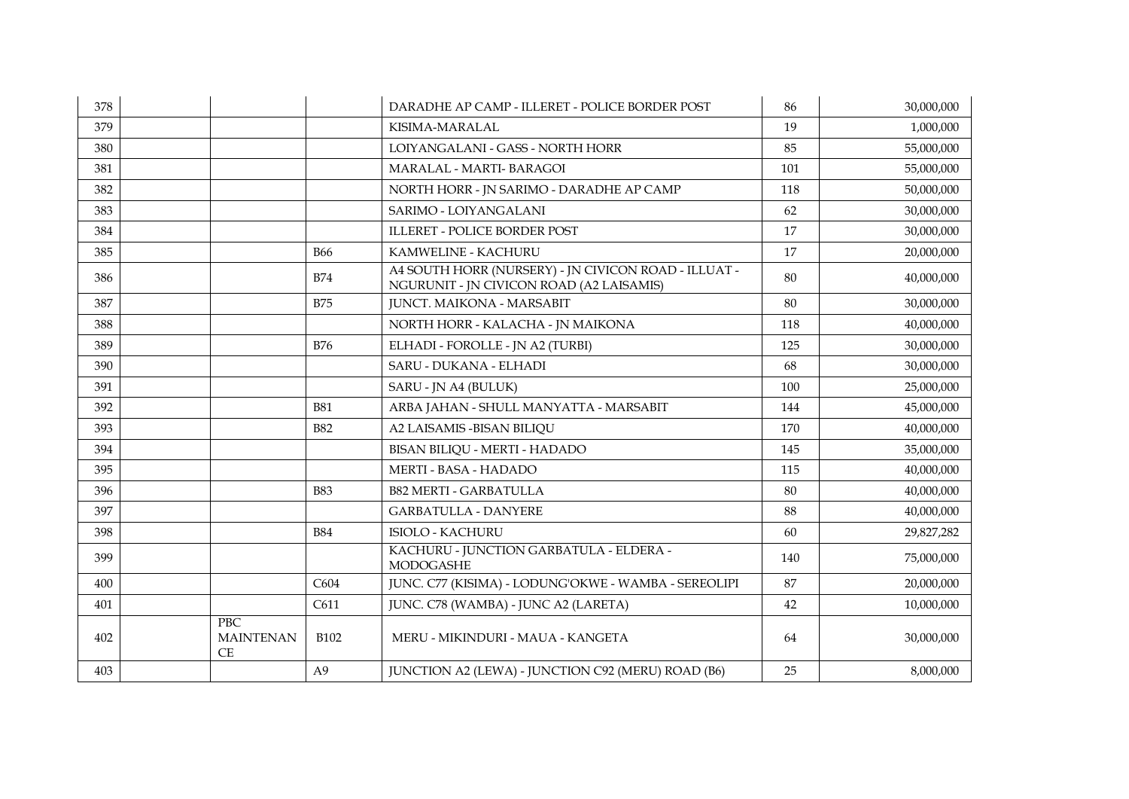| 378 |                                |                | DARADHE AP CAMP - ILLERET - POLICE BORDER POST                                                   | 86  | 30,000,000 |
|-----|--------------------------------|----------------|--------------------------------------------------------------------------------------------------|-----|------------|
| 379 |                                |                | KISIMA-MARALAL                                                                                   | 19  | 1,000,000  |
| 380 |                                |                | LOIYANGALANI - GASS - NORTH HORR                                                                 | 85  | 55,000,000 |
| 381 |                                |                | MARALAL - MARTI- BARAGOI                                                                         | 101 | 55,000,000 |
| 382 |                                |                | NORTH HORR - JN SARIMO - DARADHE AP CAMP                                                         | 118 | 50,000,000 |
| 383 |                                |                | SARIMO - LOIYANGALANI                                                                            | 62  | 30,000,000 |
| 384 |                                |                | <b>ILLERET - POLICE BORDER POST</b>                                                              | 17  | 30,000,000 |
| 385 |                                | <b>B66</b>     | KAMWELINE - KACHURU                                                                              | 17  | 20,000,000 |
| 386 |                                | <b>B74</b>     | A4 SOUTH HORR (NURSERY) - JN CIVICON ROAD - ILLUAT -<br>NGURUNIT - JN CIVICON ROAD (A2 LAISAMIS) | 80  | 40,000,000 |
| 387 |                                | <b>B75</b>     | <b>JUNCT. MAIKONA - MARSABIT</b>                                                                 | 80  | 30,000,000 |
| 388 |                                |                | NORTH HORR - KALACHA - JN MAIKONA                                                                | 118 | 40,000,000 |
| 389 |                                | <b>B76</b>     | ELHADI - FOROLLE - JN A2 (TURBI)                                                                 | 125 | 30,000,000 |
| 390 |                                |                | SARU - DUKANA - ELHADI                                                                           | 68  | 30,000,000 |
| 391 |                                |                | SARU - JN A4 (BULUK)                                                                             | 100 | 25,000,000 |
| 392 |                                | <b>B81</b>     | ARBA JAHAN - SHULL MANYATTA - MARSABIT                                                           | 144 | 45,000,000 |
| 393 |                                | <b>B82</b>     | A2 LAISAMIS - BISAN BILIQU                                                                       | 170 | 40,000,000 |
| 394 |                                |                | BISAN BILIQU - MERTI - HADADO                                                                    | 145 | 35,000,000 |
| 395 |                                |                | MERTI - BASA - HADADO                                                                            | 115 | 40,000,000 |
| 396 |                                | <b>B83</b>     | <b>B82 MERTI - GARBATULLA</b>                                                                    | 80  | 40,000,000 |
| 397 |                                |                | <b>GARBATULLA - DANYERE</b>                                                                      | 88  | 40,000,000 |
| 398 |                                | <b>B84</b>     | <b>ISIOLO - KACHURU</b>                                                                          | 60  | 29,827,282 |
| 399 |                                |                | KACHURU - JUNCTION GARBATULA - ELDERA -<br><b>MODOGASHE</b>                                      | 140 | 75,000,000 |
| 400 |                                | C604           | JUNC. C77 (KISIMA) - LODUNG'OKWE - WAMBA - SEREOLIPI                                             | 87  | 20,000,000 |
| 401 |                                | C611           | JUNC. C78 (WAMBA) - JUNC A2 (LARETA)                                                             | 42  | 10,000,000 |
| 402 | PBC.<br><b>MAINTENAN</b><br>CE | <b>B102</b>    | MERU - MIKINDURI - MAUA - KANGETA                                                                | 64  | 30,000,000 |
| 403 |                                | A <sub>9</sub> | JUNCTION A2 (LEWA) - JUNCTION C92 (MERU) ROAD (B6)                                               | 25  | 8,000,000  |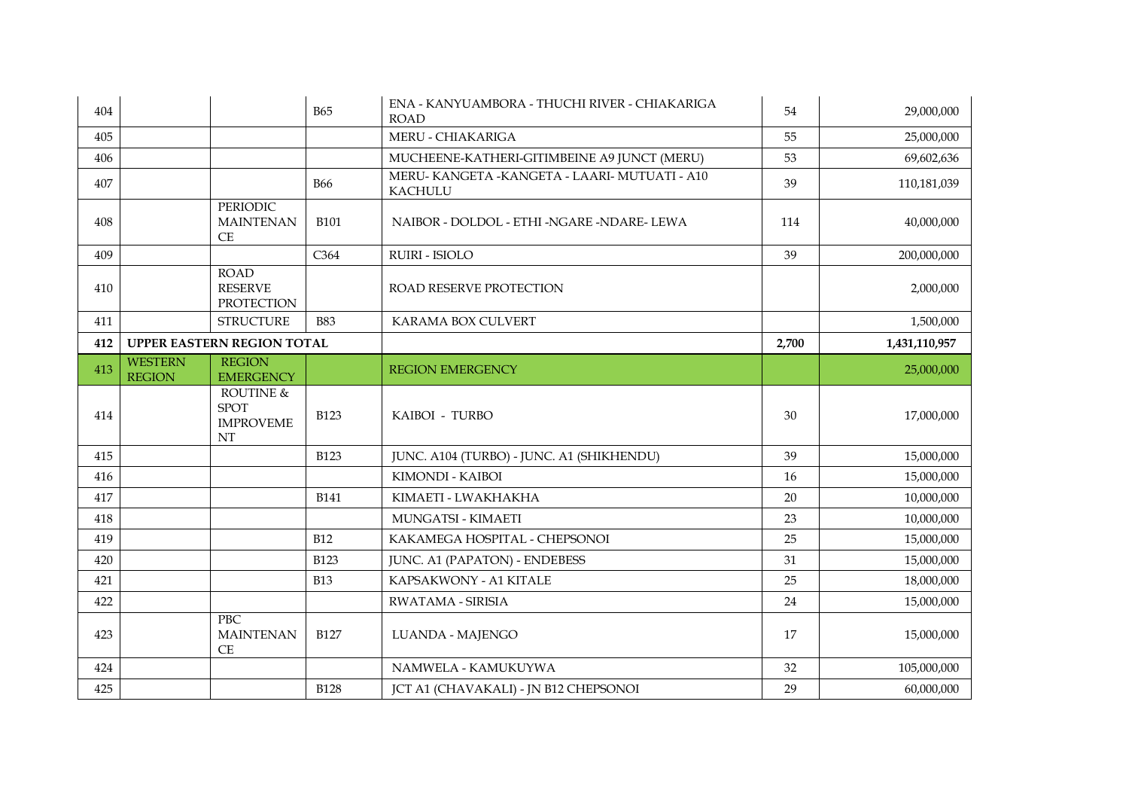| 404 |                                 |                                                    | <b>B65</b>  | ENA - KANYUAMBORA - THUCHI RIVER - CHIAKARIGA<br><b>ROAD</b>   | 54    | 29,000,000    |
|-----|---------------------------------|----------------------------------------------------|-------------|----------------------------------------------------------------|-------|---------------|
| 405 |                                 |                                                    |             | MERU - CHIAKARIGA                                              | 55    | 25,000,000    |
| 406 |                                 |                                                    |             | MUCHEENE-KATHERI-GITIMBEINE A9 JUNCT (MERU)                    | 53    | 69,602,636    |
| 407 |                                 |                                                    | <b>B66</b>  | MERU-KANGETA - KANGETA - LAARI-MUTUATI - A10<br><b>KACHULU</b> | 39    | 110,181,039   |
| 408 |                                 | PERIODIC<br><b>MAINTENAN</b><br>CE                 | <b>B101</b> | NAIBOR - DOLDOL - ETHI -NGARE -NDARE- LEWA                     | 114   | 40,000,000    |
| 409 |                                 |                                                    | C364        | RUIRI - ISIOLO                                                 | 39    | 200,000,000   |
| 410 |                                 | <b>ROAD</b><br><b>RESERVE</b><br><b>PROTECTION</b> |             | ROAD RESERVE PROTECTION                                        |       | 2,000,000     |
| 411 |                                 | <b>STRUCTURE</b>                                   | <b>B83</b>  | KARAMA BOX CULVERT                                             |       | 1,500,000     |
| 412 | UPPER EASTERN REGION TOTAL      |                                                    |             |                                                                | 2,700 | 1,431,110,957 |
| 413 | <b>WESTERN</b><br><b>REGION</b> | <b>REGION</b><br><b>EMERGENCY</b>                  |             | <b>REGION EMERGENCY</b>                                        |       | 25,000,000    |
| 414 |                                 | ROUTINE &<br><b>SPOT</b><br><b>IMPROVEME</b>       | <b>B123</b> | KAIBOI - TURBO                                                 | 30    | 17,000,000    |
|     |                                 | NT                                                 |             |                                                                |       |               |
| 415 |                                 |                                                    | <b>B123</b> | JUNC. A104 (TURBO) - JUNC. A1 (SHIKHENDU)                      | 39    | 15,000,000    |
| 416 |                                 |                                                    |             | KIMONDI - KAIBOI                                               | 16    | 15,000,000    |
| 417 |                                 |                                                    | <b>B141</b> | KIMAETI - LWAKHAKHA                                            | 20    | 10,000,000    |
| 418 |                                 |                                                    |             | <b>MUNGATSI - KIMAETI</b>                                      | 23    | 10,000,000    |
| 419 |                                 |                                                    | <b>B12</b>  | KAKAMEGA HOSPITAL - CHEPSONOI                                  | 25    | 15,000,000    |
| 420 |                                 |                                                    | <b>B123</b> | JUNC. A1 (PAPATON) - ENDEBESS                                  | 31    | 15,000,000    |
| 421 |                                 |                                                    | <b>B13</b>  | KAPSAKWONY - A1 KITALE                                         | 25    | 18,000,000    |
| 422 |                                 |                                                    |             | RWATAMA - SIRISIA                                              | 24    | 15,000,000    |
| 423 |                                 | <b>PBC</b><br><b>MAINTENAN</b><br><b>CE</b>        | <b>B127</b> | LUANDA - MAJENGO                                               | 17    | 15,000,000    |
| 424 |                                 |                                                    |             | NAMWELA - KAMUKUYWA                                            | 32    | 105,000,000   |